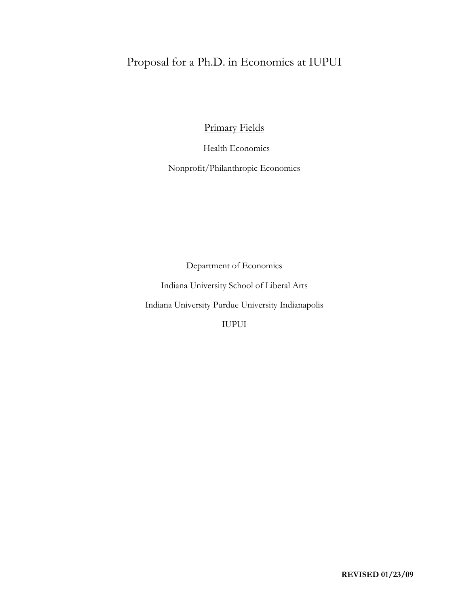# Proposal for a Ph.D. in Economics at IUPUI

Primary Fields

Health Economics

Nonprofit/Philanthropic Economics

Department of Economics

Indiana University School of Liberal Arts

Indiana University Purdue University Indianapolis

IUPUI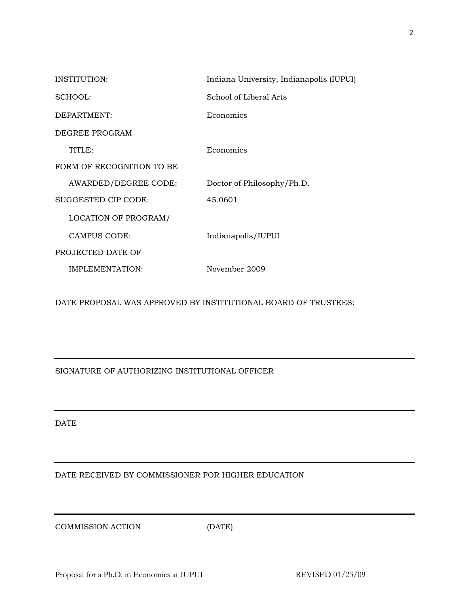| INSTITUTION:              | Indiana University, Indianapolis (IUPUI) |
|---------------------------|------------------------------------------|
| SCHOOL:                   | School of Liberal Arts                   |
| DEPARTMENT:               | Economics                                |
| DEGREE PROGRAM            |                                          |
| TITLE:                    | Economics                                |
| FORM OF RECOGNITION TO BE |                                          |
| AWARDED/DEGREE CODE:      | Doctor of Philosophy/Ph.D.               |
| SUGGESTED CIP CODE:       | 45.0601                                  |
| LOCATION OF PROGRAM/      |                                          |
| CAMPUS CODE:              | Indianapolis/IUPUI                       |
| PROJECTED DATE OF         |                                          |
| IMPLEMENTATION:           | November 2009                            |

DATE PROPOSAL WAS APPROVED BY INSTITUTIONAL BOARD OF TRUSTEES:

SIGNATURE OF AUTHORIZING INSTITUTIONAL OFFICER

DATE

DATE RECEIVED BY COMMISSIONER FOR HIGHER EDUCATION

COMMISSION ACTION (DATE)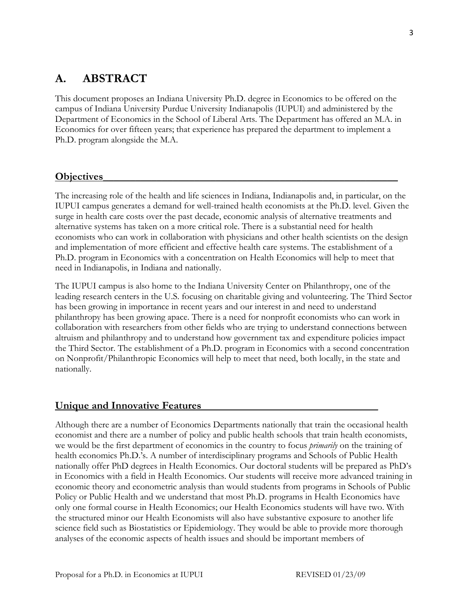# **A. ABSTRACT**

This document proposes an Indiana University Ph.D. degree in Economics to be offered on the campus of Indiana University Purdue University Indianapolis (IUPUI) and administered by the Department of Economics in the School of Liberal Arts. The Department has offered an M.A. in Economics for over fifteen years; that experience has prepared the department to implement a Ph.D. program alongside the M.A.

# **Objectives**\_\_\_\_\_\_\_\_\_\_\_\_\_\_\_\_\_\_\_\_\_\_\_\_\_\_\_\_\_\_\_\_\_\_\_\_\_\_\_\_\_\_\_\_\_\_\_\_\_\_\_\_\_\_\_

The increasing role of the health and life sciences in Indiana, Indianapolis and, in particular, on the IUPUI campus generates a demand for well-trained health economists at the Ph.D. level. Given the surge in health care costs over the past decade, economic analysis of alternative treatments and alternative systems has taken on a more critical role. There is a substantial need for health economists who can work in collaboration with physicians and other health scientists on the design and implementation of more efficient and effective health care systems. The establishment of a Ph.D. program in Economics with a concentration on Health Economics will help to meet that need in Indianapolis, in Indiana and nationally.

The IUPUI campus is also home to the Indiana University Center on Philanthropy, one of the leading research centers in the U.S. focusing on charitable giving and volunteering. The Third Sector has been growing in importance in recent years and our interest in and need to understand philanthropy has been growing apace. There is a need for nonprofit economists who can work in collaboration with researchers from other fields who are trying to understand connections between altruism and philanthropy and to understand how government tax and expenditure policies impact the Third Sector. The establishment of a Ph.D. program in Economics with a second concentration on Nonprofit/Philanthropic Economics will help to meet that need, both locally, in the state and nationally.

## **Unique and Innovative Features\_\_\_\_\_\_\_\_\_\_\_\_\_\_\_\_\_\_\_\_\_\_\_\_\_\_\_\_\_\_\_\_\_**

Although there are a number of Economics Departments nationally that train the occasional health economist and there are a number of policy and public health schools that train health economists, we would be the first department of economics in the country to focus *primarily* on the training of health economics Ph.D.'s. A number of interdisciplinary programs and Schools of Public Health nationally offer PhD degrees in Health Economics. Our doctoral students will be prepared as PhD's in Economics with a field in Health Economics. Our students will receive more advanced training in economic theory and econometric analysis than would students from programs in Schools of Public Policy or Public Health and we understand that most Ph.D. programs in Health Economics have only one formal course in Health Economics; our Health Economics students will have two. With the structured minor our Health Economists will also have substantive exposure to another life science field such as Biostatistics or Epidemiology. They would be able to provide more thorough analyses of the economic aspects of health issues and should be important members of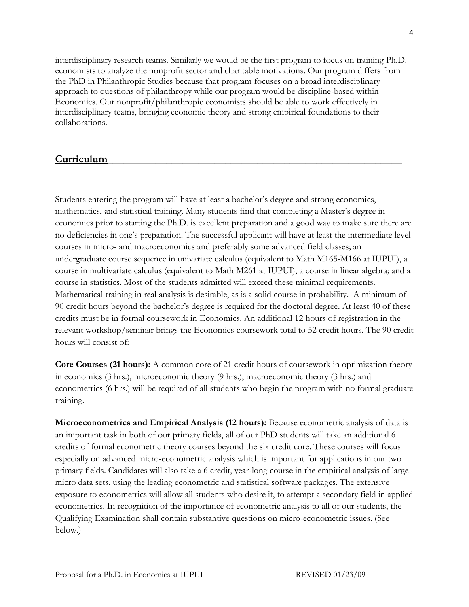interdisciplinary research teams. Similarly we would be the first program to focus on training Ph.D. economists to analyze the nonprofit sector and charitable motivations. Our program differs from the PhD in Philanthropic Studies because that program focuses on a broad interdisciplinary approach to questions of philanthropy while our program would be discipline-based within Economics. Our nonprofit/philanthropic economists should be able to work effectively in interdisciplinary teams, bringing economic theory and strong empirical foundations to their collaborations.

# **Curriculum\_\_\_\_\_\_\_\_\_\_\_\_\_\_\_\_\_\_\_\_\_\_\_\_\_\_\_\_\_\_\_\_\_\_\_\_\_\_\_\_\_\_\_\_\_\_\_\_\_\_\_\_\_\_\_**

Students entering the program will have at least a bachelor's degree and strong economics, mathematics, and statistical training. Many students find that completing a Master's degree in economics prior to starting the Ph.D. is excellent preparation and a good way to make sure there are no deficiencies in one's preparation. The successful applicant will have at least the intermediate level courses in micro- and macroeconomics and preferably some advanced field classes; an undergraduate course sequence in univariate calculus (equivalent to Math M165-M166 at IUPUI), a course in multivariate calculus (equivalent to Math M261 at IUPUI), a course in linear algebra; and a course in statistics. Most of the students admitted will exceed these minimal requirements. Mathematical training in real analysis is desirable, as is a solid course in probability. A minimum of 90 credit hours beyond the bachelor's degree is required for the doctoral degree. At least 40 of these credits must be in formal coursework in Economics. An additional 12 hours of registration in the relevant workshop/seminar brings the Economics coursework total to 52 credit hours. The 90 credit hours will consist of:

**Core Courses (21 hours):** A common core of 21 credit hours of coursework in optimization theory in economics (3 hrs.), microeconomic theory (9 hrs.), macroeconomic theory (3 hrs.) and econometrics (6 hrs.) will be required of all students who begin the program with no formal graduate training.

**Microeconometrics and Empirical Analysis (12 hours):** Because econometric analysis of data is an important task in both of our primary fields, all of our PhD students will take an additional 6 credits of formal econometric theory courses beyond the six credit core. These courses will focus especially on advanced micro-econometric analysis which is important for applications in our two primary fields. Candidates will also take a 6 credit, year-long course in the empirical analysis of large micro data sets, using the leading econometric and statistical software packages. The extensive exposure to econometrics will allow all students who desire it, to attempt a secondary field in applied econometrics. In recognition of the importance of econometric analysis to all of our students, the Qualifying Examination shall contain substantive questions on micro-econometric issues. (See below.)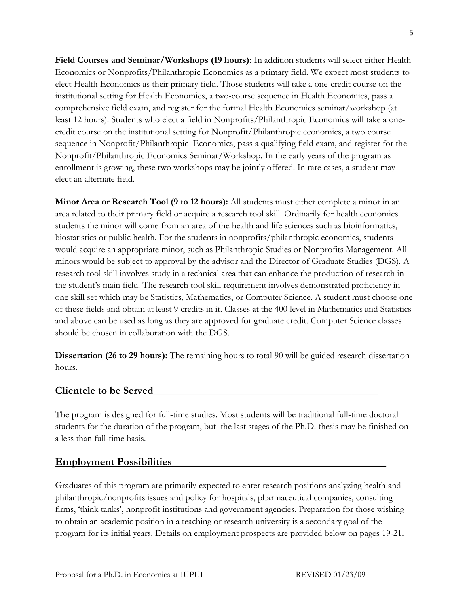**Field Courses and Seminar/Workshops (19 hours):** In addition students will select either Health Economics or Nonprofits/Philanthropic Economics as a primary field. We expect most students to elect Health Economics as their primary field. Those students will take a one-credit course on the institutional setting for Health Economics, a two-course sequence in Health Economics, pass a comprehensive field exam, and register for the formal Health Economics seminar/workshop (at least 12 hours). Students who elect a field in Nonprofits/Philanthropic Economics will take a onecredit course on the institutional setting for Nonprofit/Philanthropic economics, a two course sequence in Nonprofit/Philanthropic Economics, pass a qualifying field exam, and register for the Nonprofit/Philanthropic Economics Seminar/Workshop. In the early years of the program as enrollment is growing, these two workshops may be jointly offered. In rare cases, a student may elect an alternate field.

**Minor Area or Research Tool (9 to 12 hours):** All students must either complete a minor in an area related to their primary field or acquire a research tool skill. Ordinarily for health economics students the minor will come from an area of the health and life sciences such as bioinformatics, biostatistics or public health. For the students in nonprofits/philanthropic economics, students would acquire an appropriate minor, such as Philanthropic Studies or Nonprofits Management. All minors would be subject to approval by the advisor and the Director of Graduate Studies (DGS). A research tool skill involves study in a technical area that can enhance the production of research in the student's main field. The research tool skill requirement involves demonstrated proficiency in one skill set which may be Statistics, Mathematics, or Computer Science. A student must choose one of these fields and obtain at least 9 credits in it. Classes at the 400 level in Mathematics and Statistics and above can be used as long as they are approved for graduate credit. Computer Science classes should be chosen in collaboration with the DGS.

**Dissertation (26 to 29 hours):** The remaining hours to total 90 will be guided research dissertation hours.

# **Clientele to be Served\_\_\_\_\_\_\_\_\_\_\_\_\_\_\_\_\_\_\_\_\_\_\_\_\_\_\_\_\_\_\_\_\_\_\_\_\_\_\_\_\_\_**

The program is designed for full-time studies. Most students will be traditional full-time doctoral students for the duration of the program, but the last stages of the Ph.D. thesis may be finished on a less than full-time basis.

# **Employment Possibilities**

Graduates of this program are primarily expected to enter research positions analyzing health and philanthropic/nonprofits issues and policy for hospitals, pharmaceutical companies, consulting firms, 'think tanks', nonprofit institutions and government agencies. Preparation for those wishing to obtain an academic position in a teaching or research university is a secondary goal of the program for its initial years. Details on employment prospects are provided below on pages 19-21.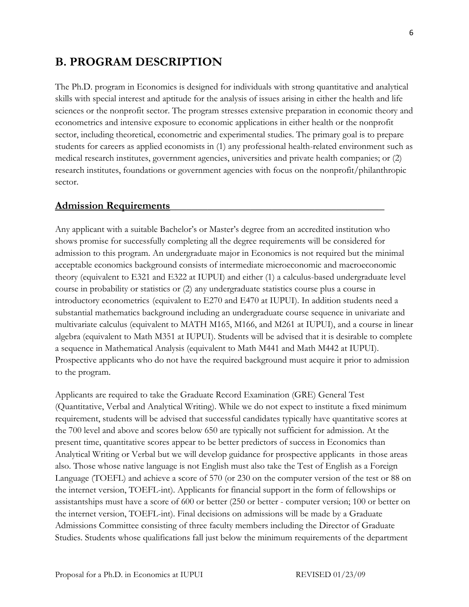# **B. PROGRAM DESCRIPTION**

The Ph.D. program in Economics is designed for individuals with strong quantitative and analytical skills with special interest and aptitude for the analysis of issues arising in either the health and life sciences or the nonprofit sector. The program stresses extensive preparation in economic theory and econometrics and intensive exposure to economic applications in either health or the nonprofit sector, including theoretical, econometric and experimental studies. The primary goal is to prepare students for careers as applied economists in (1) any professional health-related environment such as medical research institutes, government agencies, universities and private health companies; or (2) research institutes, foundations or government agencies with focus on the nonprofit/philanthropic sector.

#### **Admission Requirements**\_\_\_\_\_\_\_\_\_\_\_\_\_\_\_\_\_\_\_\_\_\_\_\_\_\_\_\_\_\_\_\_\_\_\_\_\_\_\_\_

Any applicant with a suitable Bachelor's or Master's degree from an accredited institution who shows promise for successfully completing all the degree requirements will be considered for admission to this program. An undergraduate major in Economics is not required but the minimal acceptable economics background consists of intermediate microeconomic and macroeconomic theory (equivalent to E321 and E322 at IUPUI) and either (1) a calculus-based undergraduate level course in probability or statistics or (2) any undergraduate statistics course plus a course in introductory econometrics (equivalent to E270 and E470 at IUPUI). In addition students need a substantial mathematics background including an undergraduate course sequence in univariate and multivariate calculus (equivalent to MATH M165, M166, and M261 at IUPUI), and a course in linear algebra (equivalent to Math M351 at IUPUI). Students will be advised that it is desirable to complete a sequence in Mathematical Analysis (equivalent to Math M441 and Math M442 at IUPUI). Prospective applicants who do not have the required background must acquire it prior to admission to the program.

Applicants are required to take the Graduate Record Examination (GRE) General Test (Quantitative, Verbal and Analytical Writing). While we do not expect to institute a fixed minimum requirement, students will be advised that successful candidates typically have quantitative scores at the 700 level and above and scores below 650 are typically not sufficient for admission. At the present time, quantitative scores appear to be better predictors of success in Economics than Analytical Writing or Verbal but we will develop guidance for prospective applicants in those areas also. Those whose native language is not English must also take the Test of English as a Foreign Language (TOEFL) and achieve a score of 570 (or 230 on the computer version of the test or 88 on the internet version, TOEFL-int). Applicants for financial support in the form of fellowships or assistantships must have a score of 600 or better (250 or better - computer version; 100 or better on the internet version, TOEFL-int). Final decisions on admissions will be made by a Graduate Admissions Committee consisting of three faculty members including the Director of Graduate Studies. Students whose qualifications fall just below the minimum requirements of the department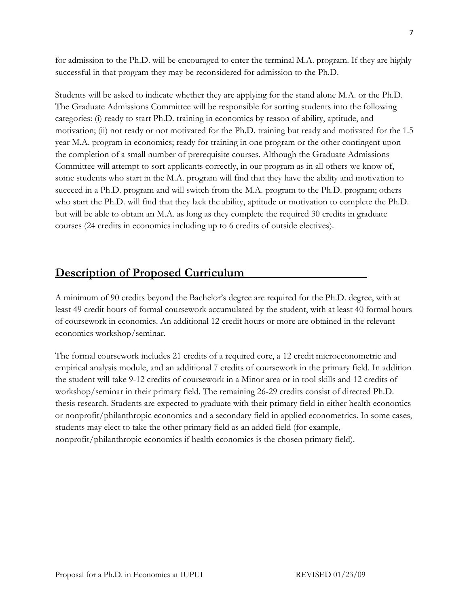for admission to the Ph.D. will be encouraged to enter the terminal M.A. program. If they are highly successful in that program they may be reconsidered for admission to the Ph.D.

Students will be asked to indicate whether they are applying for the stand alone M.A. or the Ph.D. The Graduate Admissions Committee will be responsible for sorting students into the following categories: (i) ready to start Ph.D. training in economics by reason of ability, aptitude, and motivation; (ii) not ready or not motivated for the Ph.D. training but ready and motivated for the 1.5 year M.A. program in economics; ready for training in one program or the other contingent upon the completion of a small number of prerequisite courses. Although the Graduate Admissions Committee will attempt to sort applicants correctly, in our program as in all others we know of, some students who start in the M.A. program will find that they have the ability and motivation to succeed in a Ph.D. program and will switch from the M.A. program to the Ph.D. program; others who start the Ph.D. will find that they lack the ability, aptitude or motivation to complete the Ph.D. but will be able to obtain an M.A. as long as they complete the required 30 credits in graduate courses (24 credits in economics including up to 6 credits of outside electives).

# **Description of Proposed Curriculum**

A minimum of 90 credits beyond the Bachelor's degree are required for the Ph.D. degree, with at least 49 credit hours of formal coursework accumulated by the student, with at least 40 formal hours of coursework in economics. An additional 12 credit hours or more are obtained in the relevant economics workshop/seminar.

The formal coursework includes 21 credits of a required core, a 12 credit microeconometric and empirical analysis module, and an additional 7 credits of coursework in the primary field. In addition the student will take 9-12 credits of coursework in a Minor area or in tool skills and 12 credits of workshop/seminar in their primary field. The remaining 26-29 credits consist of directed Ph.D. thesis research. Students are expected to graduate with their primary field in either health economics or nonprofit/philanthropic economics and a secondary field in applied econometrics. In some cases, students may elect to take the other primary field as an added field (for example, nonprofit/philanthropic economics if health economics is the chosen primary field).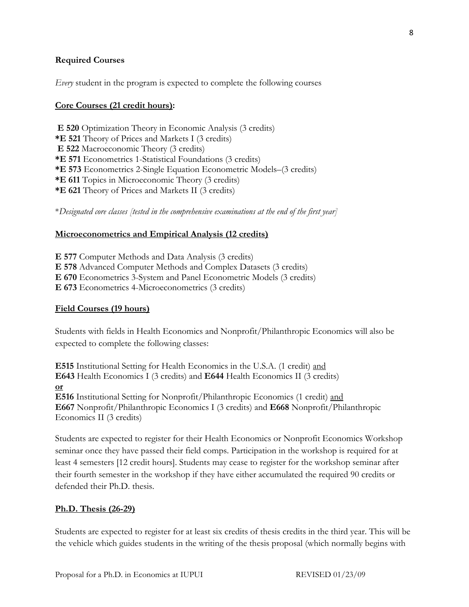## **Required Courses**

*Every* student in the program is expected to complete the following courses

#### **Core Courses (21 credit hours):**

 **E 520** Optimization Theory in Economic Analysis (3 credits) **\*E 521** Theory of Prices and Markets I (3 credits)  **E 522** Macroeconomic Theory (3 credits) **\*E 571** Econometrics 1-Statistical Foundations (3 credits) **\*E 573** Econometrics 2-Single Equation Econometric Models–(3 credits) **\*E 611** Topics in Microeconomic Theory (3 credits) **\*E 621** Theory of Prices and Markets II (3 credits)

\**Designated core classes [tested in the comprehensive examinations at the end of the first year]* 

#### **Microeconometrics and Empirical Analysis (12 credits)**

**E 577** Computer Methods and Data Analysis (3 credits) **E 578** Advanced Computer Methods and Complex Datasets (3 credits) **E 670** Econometrics 3-System and Panel Econometric Models (3 credits) **E 673** Econometrics 4-Microeconometrics (3 credits)

#### **Field Courses (19 hours)**

Students with fields in Health Economics and Nonprofit/Philanthropic Economics will also be expected to complete the following classes:

**E515** Institutional Setting for Health Economics in the U.S.A. (1 credit) and **E643** Health Economics I (3 credits) and **E644** Health Economics II (3 credits) **or E516** Institutional Setting for Nonprofit/Philanthropic Economics (1 credit) and

**E667** Nonprofit/Philanthropic Economics I (3 credits) and **E668** Nonprofit/Philanthropic Economics II (3 credits)

Students are expected to register for their Health Economics or Nonprofit Economics Workshop seminar once they have passed their field comps. Participation in the workshop is required for at least 4 semesters [12 credit hours]. Students may cease to register for the workshop seminar after their fourth semester in the workshop if they have either accumulated the required 90 credits or defended their Ph.D. thesis.

#### **Ph.D. Thesis (26-29)**

Students are expected to register for at least six credits of thesis credits in the third year. This will be the vehicle which guides students in the writing of the thesis proposal (which normally begins with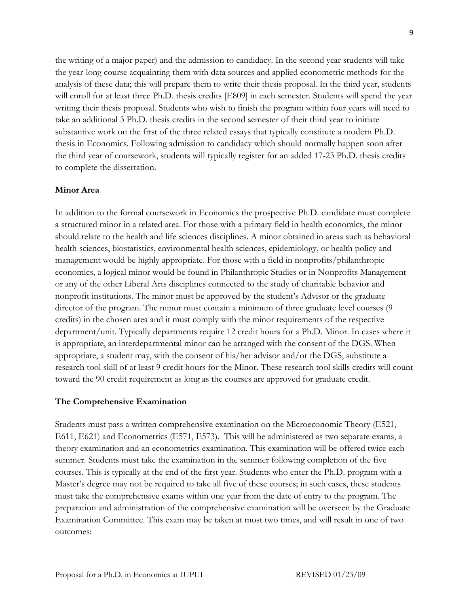the writing of a major paper) and the admission to candidacy. In the second year students will take the year-long course acquainting them with data sources and applied econometric methods for the analysis of these data; this will prepare them to write their thesis proposal. In the third year, students will enroll for at least three Ph.D. thesis credits [E809] in each semester. Students will spend the year writing their thesis proposal. Students who wish to finish the program within four years will need to take an additional 3 Ph.D. thesis credits in the second semester of their third year to initiate substantive work on the first of the three related essays that typically constitute a modern Ph.D. thesis in Economics. Following admission to candidacy which should normally happen soon after the third year of coursework, students will typically register for an added 17-23 Ph.D. thesis credits to complete the dissertation.

#### **Minor Area**

In addition to the formal coursework in Economics the prospective Ph.D. candidate must complete a structured minor in a related area. For those with a primary field in health economics, the minor should relate to the health and life sciences disciplines. A minor obtained in areas such as behavioral health sciences, biostatistics, environmental health sciences, epidemiology, or health policy and management would be highly appropriate. For those with a field in nonprofits/philanthropic economics, a logical minor would be found in Philanthropic Studies or in Nonprofits Management or any of the other Liberal Arts disciplines connected to the study of charitable behavior and nonprofit institutions. The minor must be approved by the student's Advisor or the graduate director of the program. The minor must contain a minimum of three graduate level courses (9) credits) in the chosen area and it must comply with the minor requirements of the respective department/unit. Typically departments require 12 credit hours for a Ph.D. Minor. In cases where it is appropriate, an interdepartmental minor can be arranged with the consent of the DGS. When appropriate, a student may, with the consent of his/her advisor and/or the DGS, substitute a research tool skill of at least 9 credit hours for the Minor. These research tool skills credits will count toward the 90 credit requirement as long as the courses are approved for graduate credit.

#### **The Comprehensive Examination**

Students must pass a written comprehensive examination on the Microeconomic Theory (E521, E611, E621) and Econometrics (E571, E573). This will be administered as two separate exams, a theory examination and an econometrics examination. This examination will be offered twice each summer. Students must take the examination in the summer following completion of the five courses. This is typically at the end of the first year. Students who enter the Ph.D. program with a Master's degree may not be required to take all five of these courses; in such cases, these students must take the comprehensive exams within one year from the date of entry to the program. The preparation and administration of the comprehensive examination will be overseen by the Graduate Examination Committee. This exam may be taken at most two times, and will result in one of two outcomes: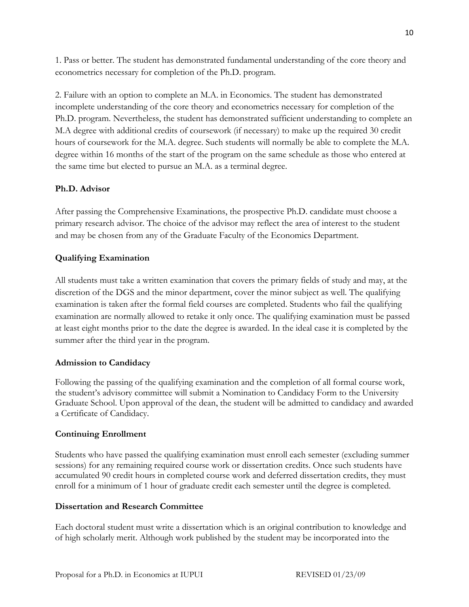1. Pass or better. The student has demonstrated fundamental understanding of the core theory and econometrics necessary for completion of the Ph.D. program.

2. Failure with an option to complete an M.A. in Economics. The student has demonstrated incomplete understanding of the core theory and econometrics necessary for completion of the Ph.D. program. Nevertheless, the student has demonstrated sufficient understanding to complete an M.A degree with additional credits of coursework (if necessary) to make up the required 30 credit hours of coursework for the M.A. degree. Such students will normally be able to complete the M.A. degree within 16 months of the start of the program on the same schedule as those who entered at the same time but elected to pursue an M.A. as a terminal degree.

# **Ph.D. Advisor**

After passing the Comprehensive Examinations, the prospective Ph.D. candidate must choose a primary research advisor. The choice of the advisor may reflect the area of interest to the student and may be chosen from any of the Graduate Faculty of the Economics Department.

# **Qualifying Examination**

All students must take a written examination that covers the primary fields of study and may, at the discretion of the DGS and the minor department, cover the minor subject as well. The qualifying examination is taken after the formal field courses are completed. Students who fail the qualifying examination are normally allowed to retake it only once. The qualifying examination must be passed at least eight months prior to the date the degree is awarded. In the ideal case it is completed by the summer after the third year in the program.

## **Admission to Candidacy**

Following the passing of the qualifying examination and the completion of all formal course work, the student's advisory committee will submit a Nomination to Candidacy Form to the University Graduate School. Upon approval of the dean, the student will be admitted to candidacy and awarded a Certificate of Candidacy.

## **Continuing Enrollment**

Students who have passed the qualifying examination must enroll each semester (excluding summer sessions) for any remaining required course work or dissertation credits. Once such students have accumulated 90 credit hours in completed course work and deferred dissertation credits, they must enroll for a minimum of 1 hour of graduate credit each semester until the degree is completed.

## **Dissertation and Research Committee**

Each doctoral student must write a dissertation which is an original contribution to knowledge and of high scholarly merit. Although work published by the student may be incorporated into the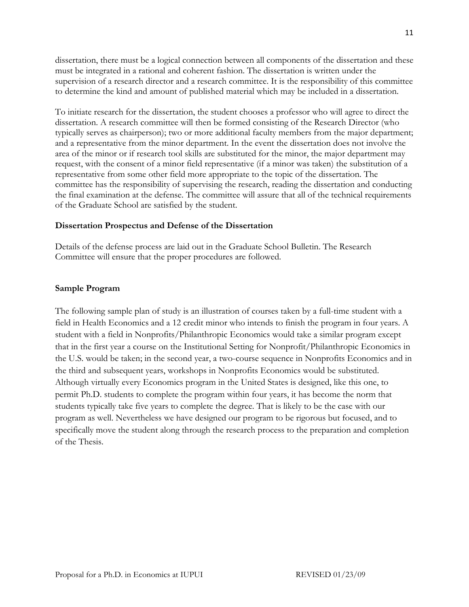dissertation, there must be a logical connection between all components of the dissertation and these must be integrated in a rational and coherent fashion. The dissertation is written under the supervision of a research director and a research committee. It is the responsibility of this committee to determine the kind and amount of published material which may be included in a dissertation.

To initiate research for the dissertation, the student chooses a professor who will agree to direct the dissertation. A research committee will then be formed consisting of the Research Director (who typically serves as chairperson); two or more additional faculty members from the major department; and a representative from the minor department. In the event the dissertation does not involve the area of the minor or if research tool skills are substituted for the minor, the major department may request, with the consent of a minor field representative (if a minor was taken) the substitution of a representative from some other field more appropriate to the topic of the dissertation. The committee has the responsibility of supervising the research, reading the dissertation and conducting the final examination at the defense. The committee will assure that all of the technical requirements of the Graduate School are satisfied by the student.

#### **Dissertation Prospectus and Defense of the Dissertation**

Details of the defense process are laid out in the Graduate School Bulletin. The Research Committee will ensure that the proper procedures are followed.

#### **Sample Program**

The following sample plan of study is an illustration of courses taken by a full-time student with a field in Health Economics and a 12 credit minor who intends to finish the program in four years. A student with a field in Nonprofits/Philanthropic Economics would take a similar program except that in the first year a course on the Institutional Setting for Nonprofit/Philanthropic Economics in the U.S. would be taken; in the second year, a two-course sequence in Nonprofits Economics and in the third and subsequent years, workshops in Nonprofits Economics would be substituted. Although virtually every Economics program in the United States is designed, like this one, to permit Ph.D. students to complete the program within four years, it has become the norm that students typically take five years to complete the degree. That is likely to be the case with our program as well. Nevertheless we have designed our program to be rigorous but focused, and to specifically move the student along through the research process to the preparation and completion of the Thesis.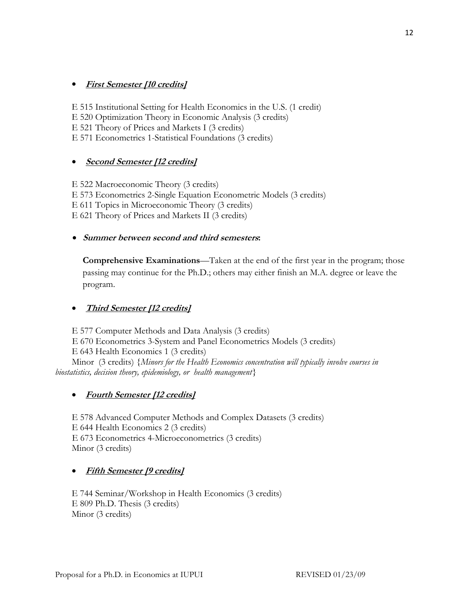# • **First Semester [10 credits]**

E 515 Institutional Setting for Health Economics in the U.S. (1 credit) E 520 Optimization Theory in Economic Analysis (3 credits) E 521 Theory of Prices and Markets I (3 credits) E 571 Econometrics 1-Statistical Foundations (3 credits)

## • **Second Semester [12 credits]**

E 522 Macroeconomic Theory (3 credits) E 573 Econometrics 2-Single Equation Econometric Models (3 credits) E 611 Topics in Microeconomic Theory (3 credits) E 621 Theory of Prices and Markets II (3 credits)

## • **Summer between second and third semesters:**

**Comprehensive Examinations**—Taken at the end of the first year in the program; those passing may continue for the Ph.D.; others may either finish an M.A. degree or leave the program.

## • **Third Semester [12 credits]**

E 577 Computer Methods and Data Analysis (3 credits) E 670 Econometrics 3-System and Panel Econometrics Models (3 credits) E 643 Health Economics 1 (3 credits) Minor (3 credits) *{Minors for the Health Economics concentration will typically involve courses in biostatistics, decision theory, epidemiology, or health management}* 

## • **Fourth Semester [12 credits]**

E 578 Advanced Computer Methods and Complex Datasets (3 credits) E 644 Health Economics 2 (3 credits) E 673 Econometrics 4-Microeconometrics (3 credits) Minor (3 credits)

## • **Fifth Semester [9 credits]**

E 744 Seminar/Workshop in Health Economics (3 credits) E 809 Ph.D. Thesis (3 credits) Minor (3 credits)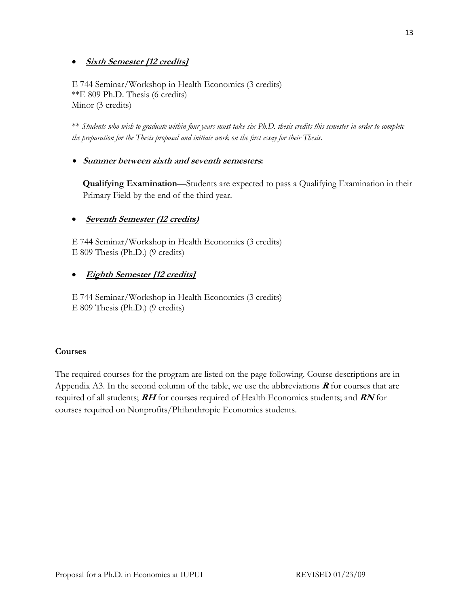# • **Sixth Semester [12 credits]**

E 744 Seminar/Workshop in Health Economics (3 credits) \*\*E 809 Ph.D. Thesis (6 credits) Minor (3 credits)

\*\* *Students who wish to graduate within four years must take six Ph.D. thesis credits this semester in order to complete the preparation for the Thesis proposal and initiate work on the first essay for their Thesis.* 

# • **Summer between sixth and seventh semesters:**

**Qualifying Examination**—Students are expected to pass a Qualifying Examination in their Primary Field by the end of the third year.

# • **Seventh Semester (12 credits)**

E 744 Seminar/Workshop in Health Economics (3 credits) E 809 Thesis (Ph.D.) (9 credits)

# • **Eighth Semester [12 credits]**

E 744 Seminar/Workshop in Health Economics (3 credits) E 809 Thesis (Ph.D.) (9 credits)

## **Courses**

The required courses for the program are listed on the page following. Course descriptions are in Appendix A3. In the second column of the table, we use the abbreviations  $\bf{R}$  for courses that are required of all students; **RH** for courses required of Health Economics students; and **RN** for courses required on Nonprofits/Philanthropic Economics students.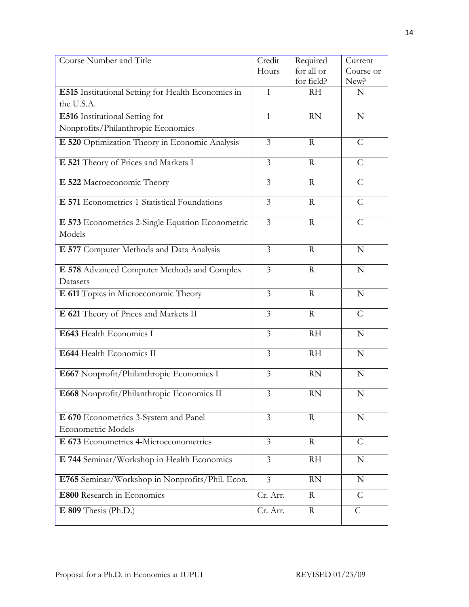| Course Number and Title                                    | Credit         | Required    | Current       |
|------------------------------------------------------------|----------------|-------------|---------------|
|                                                            | Hours          | for all or  | Course or     |
|                                                            |                | for field?  | New?          |
| E515 Institutional Setting for Health Economics in         | $\mathbf{1}$   | <b>RH</b>   | N             |
| the U.S.A.                                                 |                |             |               |
| E516 Institutional Setting for                             | $\mathbf{1}$   | <b>RN</b>   | $\mathbf N$   |
| Nonprofits/Philanthropic Economics                         |                |             |               |
| E 520 Optimization Theory in Economic Analysis             | 3              | $\mathbf R$ | C             |
| E 521 Theory of Prices and Markets I                       | $\overline{3}$ | $\mathbf R$ | $\mathcal{C}$ |
| E 522 Macroeconomic Theory                                 | $\overline{3}$ | $\mathbf R$ | $\mathcal{C}$ |
| E 571 Econometrics 1-Statistical Foundations               | $\mathfrak{Z}$ | $\mathbf R$ | $\mathcal{C}$ |
| E 573 Econometrics 2-Single Equation Econometric<br>Models | $\overline{3}$ | $\mathbf R$ | $\mathcal{C}$ |
| E 577 Computer Methods and Data Analysis                   | $\overline{3}$ | $\mathbf R$ | $\mathbf N$   |
| E 578 Advanced Computer Methods and Complex<br>Datasets    | $\overline{3}$ | $\mathbf R$ | $\mathbf N$   |
| E 611 Topics in Microeconomic Theory                       | $\mathfrak{Z}$ | $\mathbf R$ | $\mathbf N$   |
| E 621 Theory of Prices and Markets II                      | 3              | $\mathbf R$ | $\mathcal{C}$ |
| E643 Health Economics I                                    | $\overline{3}$ | <b>RH</b>   | N             |
| E644 Health Economics II                                   | $\overline{3}$ | <b>RH</b>   | ${\bf N}$     |
| E667 Nonprofit/Philanthropic Economics I                   | 3              | <b>RN</b>   | $\mathbf N$   |
| E668 Nonprofit/Philanthropic Economics II                  | 3              | <b>RN</b>   | N             |
| E 670 Econometrics 3-System and Panel                      | $\overline{3}$ | R           | N             |
| Econometric Models                                         |                |             |               |
| E 673 Econometrics 4-Microeconometrics                     | $\mathfrak{Z}$ | $\rm R$     | $\mathcal{C}$ |
| E 744 Seminar/Workshop in Health Economics                 | 3              | RH          | N             |
| E765 Seminar/Workshop in Nonprofits/Phil. Econ.            | $\overline{3}$ | <b>RN</b>   | N             |
| E800 Research in Economics                                 | Cr. Arr.       | R           | $\mathcal{C}$ |
| $E$ 809 Thesis (Ph.D.)                                     | Cr. Arr.       | R           | $\mathcal{C}$ |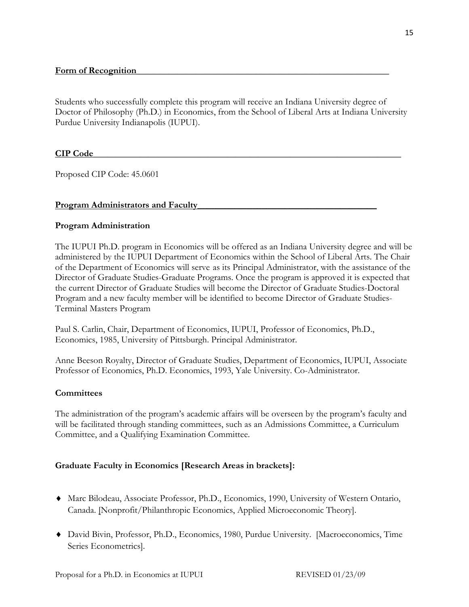Students who successfully complete this program will receive an Indiana University degree of Doctor of Philosophy (Ph.D.) in Economics, from the School of Liberal Arts at Indiana University Purdue University Indianapolis (IUPUI).

## **CIP Code**

Proposed CIP Code: 45.0601

#### **Program Administrators and Faculty**

#### **Program Administration**

The IUPUI Ph.D. program in Economics will be offered as an Indiana University degree and will be administered by the IUPUI Department of Economics within the School of Liberal Arts. The Chair of the Department of Economics will serve as its Principal Administrator, with the assistance of the Director of Graduate Studies-Graduate Programs. Once the program is approved it is expected that the current Director of Graduate Studies will become the Director of Graduate Studies-Doctoral Program and a new faculty member will be identified to become Director of Graduate Studies-Terminal Masters Program

Paul S. Carlin, Chair, Department of Economics, IUPUI, Professor of Economics, Ph.D., Economics, 1985, University of Pittsburgh. Principal Administrator.

Anne Beeson Royalty, Director of Graduate Studies, Department of Economics, IUPUI, Associate Professor of Economics, Ph.D. Economics, 1993, Yale University. Co-Administrator.

#### **Committees**

The administration of the program's academic affairs will be overseen by the program's faculty and will be facilitated through standing committees, such as an Admissions Committee, a Curriculum Committee, and a Qualifying Examination Committee.

## **Graduate Faculty in Economics [Research Areas in brackets]:**

- ♦ Marc Bilodeau, Associate Professor, Ph.D., Economics, 1990, University of Western Ontario, Canada. [Nonprofit/Philanthropic Economics, Applied Microeconomic Theory].
- ♦ David Bivin, Professor, Ph.D., Economics, 1980, Purdue University. [Macroeconomics, Time Series Econometrics].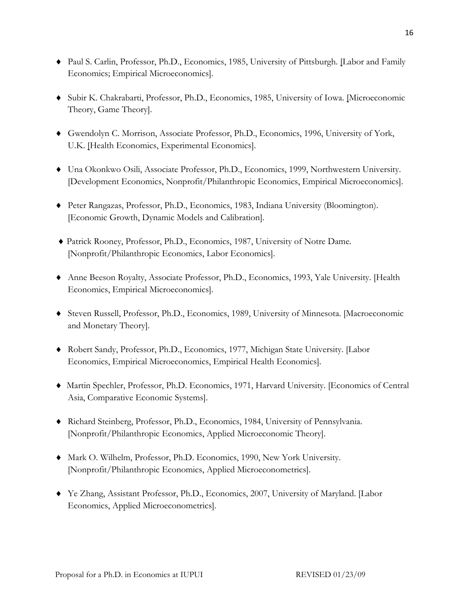- ♦ Paul S. Carlin, Professor, Ph.D., Economics, 1985, University of Pittsburgh. [Labor and Family Economics; Empirical Microeconomics].
- ♦ Subir K. Chakrabarti, Professor, Ph.D., Economics, 1985, University of Iowa. [Microeconomic Theory, Game Theory].
- ♦ Gwendolyn C. Morrison, Associate Professor, Ph.D., Economics, 1996, University of York, U.K. [Health Economics, Experimental Economics].
- ♦ Una Okonkwo Osili, Associate Professor, Ph.D., Economics, 1999, Northwestern University. [Development Economics, Nonprofit/Philanthropic Economics, Empirical Microeconomics].
- ♦ Peter Rangazas, Professor, Ph.D., Economics, 1983, Indiana University (Bloomington). [Economic Growth, Dynamic Models and Calibration].
- ♦ Patrick Rooney, Professor, Ph.D., Economics, 1987, University of Notre Dame. [Nonprofit/Philanthropic Economics, Labor Economics].
- ♦ Anne Beeson Royalty, Associate Professor, Ph.D., Economics, 1993, Yale University. [Health Economics, Empirical Microeconomics].
- ♦ Steven Russell, Professor, Ph.D., Economics, 1989, University of Minnesota. [Macroeconomic and Monetary Theory].
- ♦ Robert Sandy, Professor, Ph.D., Economics, 1977, Michigan State University. [Labor Economics, Empirical Microeconomics, Empirical Health Economics].
- ♦ Martin Spechler, Professor, Ph.D. Economics, 1971, Harvard University. [Economics of Central Asia, Comparative Economic Systems].
- ♦ Richard Steinberg, Professor, Ph.D., Economics, 1984, University of Pennsylvania. [Nonprofit/Philanthropic Economics, Applied Microeconomic Theory].
- ♦ Mark O. Wilhelm, Professor, Ph.D. Economics, 1990, New York University. [Nonprofit/Philanthropic Economics, Applied Microeconometrics].
- ♦ Ye Zhang, Assistant Professor, Ph.D., Economics, 2007, University of Maryland. [Labor Economics, Applied Microeconometrics].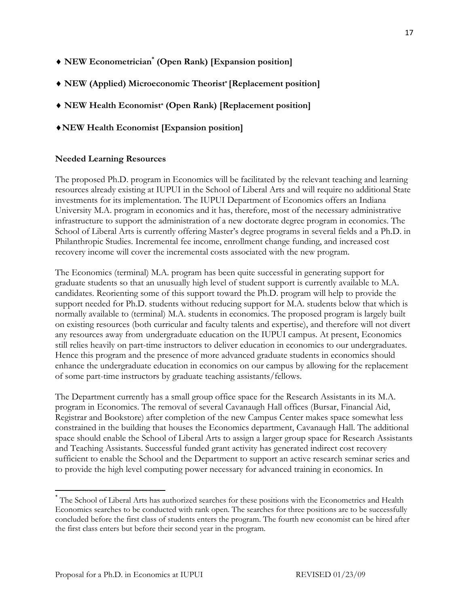- ♦ **NEW Econometrician\* (Open Rank) [Expansion position]**
- ♦ **NEW (Applied) Microeconomic Theorist\* [Replacement position]**
- ♦ **NEW Health Economist\* (Open Rank) [Replacement position]**
- ♦**NEW Health Economist [Expansion position]**

# **Needed Learning Resources**

The proposed Ph.D. program in Economics will be facilitated by the relevant teaching and learning resources already existing at IUPUI in the School of Liberal Arts and will require no additional State investments for its implementation. The IUPUI Department of Economics offers an Indiana University M.A. program in economics and it has, therefore, most of the necessary administrative infrastructure to support the administration of a new doctorate degree program in economics. The School of Liberal Arts is currently offering Master's degree programs in several fields and a Ph.D. in Philanthropic Studies. Incremental fee income, enrollment change funding, and increased cost recovery income will cover the incremental costs associated with the new program.

The Economics (terminal) M.A. program has been quite successful in generating support for graduate students so that an unusually high level of student support is currently available to M.A. candidates. Reorienting some of this support toward the Ph.D. program will help to provide the support needed for Ph.D. students without reducing support for M.A. students below that which is normally available to (terminal) M.A. students in economics. The proposed program is largely built on existing resources (both curricular and faculty talents and expertise), and therefore will not divert any resources away from undergraduate education on the IUPUI campus. At present, Economics still relies heavily on part-time instructors to deliver education in economics to our undergraduates. Hence this program and the presence of more advanced graduate students in economics should enhance the undergraduate education in economics on our campus by allowing for the replacement of some part-time instructors by graduate teaching assistants/fellows.

The Department currently has a small group office space for the Research Assistants in its M.A. program in Economics. The removal of several Cavanaugh Hall offices (Bursar, Financial Aid, Registrar and Bookstore) after completion of the new Campus Center makes space somewhat less constrained in the building that houses the Economics department, Cavanaugh Hall. The additional space should enable the School of Liberal Arts to assign a larger group space for Research Assistants and Teaching Assistants. Successful funded grant activity has generated indirect cost recovery sufficient to enable the School and the Department to support an active research seminar series and to provide the high level computing power necessary for advanced training in economics. In

<sup>\*</sup> The School of Liberal Arts has authorized searches for these positions with the Econometrics and Health Economics searches to be conducted with rank open. The searches for three positions are to be successfully concluded before the first class of students enters the program. The fourth new economist can be hired after the first class enters but before their second year in the program.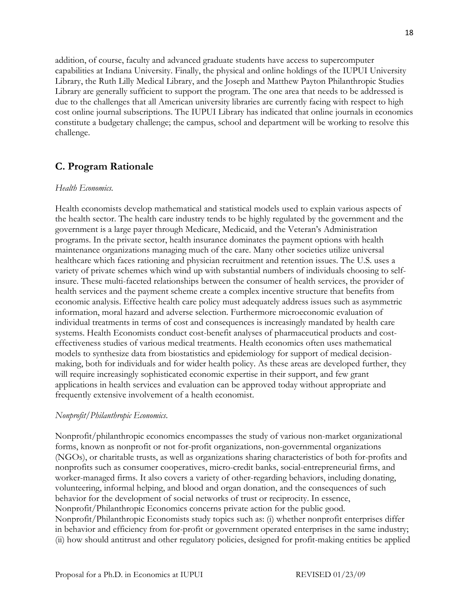addition, of course, faculty and advanced graduate students have access to supercomputer capabilities at Indiana University. Finally, the physical and online holdings of the IUPUI University Library, the Ruth Lilly Medical Library, and the Joseph and Matthew Payton Philanthropic Studies Library are generally sufficient to support the program. The one area that needs to be addressed is due to the challenges that all American university libraries are currently facing with respect to high cost online journal subscriptions. The IUPUI Library has indicated that online journals in economics constitute a budgetary challenge; the campus, school and department will be working to resolve this challenge.

# **C. Program Rationale**

#### *Health Economics.*

Health economists develop mathematical and statistical models used to explain various aspects of the health sector. The health care industry tends to be highly regulated by the government and the government is a large payer through Medicare, Medicaid, and the Veteran's Administration programs. In the private sector, health insurance dominates the payment options with health maintenance organizations managing much of the care. Many other societies utilize universal healthcare which faces rationing and physician recruitment and retention issues. The U.S. uses a variety of private schemes which wind up with substantial numbers of individuals choosing to selfinsure. These multi-faceted relationships between the consumer of health services, the provider of health services and the payment scheme create a complex incentive structure that benefits from economic analysis. Effective health care policy must adequately address issues such as asymmetric information, moral hazard and adverse selection. Furthermore microeconomic evaluation of individual treatments in terms of cost and consequences is increasingly mandated by health care systems. Health Economists conduct cost-benefit analyses of pharmaceutical products and costeffectiveness studies of various medical treatments. Health economics often uses mathematical models to synthesize data from biostatistics and epidemiology for support of medical decisionmaking, both for individuals and for wider health policy. As these areas are developed further, they will require increasingly sophisticated economic expertise in their support, and few grant applications in health services and evaluation can be approved today without appropriate and frequently extensive involvement of a health economist.

#### *Nonprofit/Philanthropic Economics*.

Nonprofit/philanthropic economics encompasses the study of various non-market organizational forms, known as nonprofit or not for-profit organizations, non-governmental organizations (NGOs), or charitable trusts, as well as organizations sharing characteristics of both for-profits and nonprofits such as consumer cooperatives, micro-credit banks, social-entrepreneurial firms, and worker-managed firms. It also covers a variety of other-regarding behaviors, including donating, volunteering, informal helping, and blood and organ donation, and the consequences of such behavior for the development of social networks of trust or reciprocity. In essence, Nonprofit/Philanthropic Economics concerns private action for the public good. Nonprofit/Philanthropic Economists study topics such as: (i) whether nonprofit enterprises differ in behavior and efficiency from for-profit or government operated enterprises in the same industry; (ii) how should antitrust and other regulatory policies, designed for profit-making entities be applied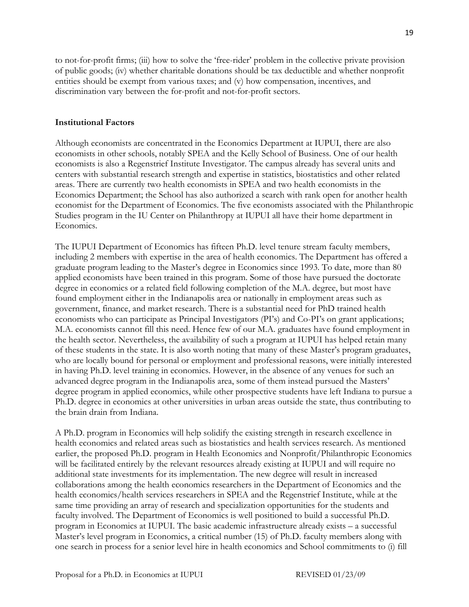to not-for-profit firms; (iii) how to solve the 'free-rider' problem in the collective private provision of public goods; (iv) whether charitable donations should be tax deductible and whether nonprofit entities should be exempt from various taxes; and (v) how compensation, incentives, and discrimination vary between the for-profit and not-for-profit sectors.

#### **Institutional Factors**

Although economists are concentrated in the Economics Department at IUPUI, there are also economists in other schools, notably SPEA and the Kelly School of Business. One of our health economists is also a Regenstrief Institute Investigator. The campus already has several units and centers with substantial research strength and expertise in statistics, biostatistics and other related areas. There are currently two health economists in SPEA and two health economists in the Economics Department; the School has also authorized a search with rank open for another health economist for the Department of Economics. The five economists associated with the Philanthropic Studies program in the IU Center on Philanthropy at IUPUI all have their home department in Economics.

The IUPUI Department of Economics has fifteen Ph.D. level tenure stream faculty members, including 2 members with expertise in the area of health economics. The Department has offered a graduate program leading to the Master's degree in Economics since 1993. To date, more than 80 applied economists have been trained in this program. Some of those have pursued the doctorate degree in economics or a related field following completion of the M.A. degree, but most have found employment either in the Indianapolis area or nationally in employment areas such as government, finance, and market research. There is a substantial need for PhD trained health economists who can participate as Principal Investigators (PI's) and Co-PI's on grant applications; M.A. economists cannot fill this need. Hence few of our M.A. graduates have found employment in the health sector. Nevertheless, the availability of such a program at IUPUI has helped retain many of these students in the state. It is also worth noting that many of these Master's program graduates, who are locally bound for personal or employment and professional reasons, were initially interested in having Ph.D. level training in economics. However, in the absence of any venues for such an advanced degree program in the Indianapolis area, some of them instead pursued the Masters' degree program in applied economics, while other prospective students have left Indiana to pursue a Ph.D. degree in economics at other universities in urban areas outside the state, thus contributing to the brain drain from Indiana.

A Ph.D. program in Economics will help solidify the existing strength in research excellence in health economics and related areas such as biostatistics and health services research. As mentioned earlier, the proposed Ph.D. program in Health Economics and Nonprofit/Philanthropic Economics will be facilitated entirely by the relevant resources already existing at IUPUI and will require no additional state investments for its implementation. The new degree will result in increased collaborations among the health economics researchers in the Department of Economics and the health economics/health services researchers in SPEA and the Regenstrief Institute, while at the same time providing an array of research and specialization opportunities for the students and faculty involved. The Department of Economics is well positioned to build a successful Ph.D. program in Economics at IUPUI. The basic academic infrastructure already exists – a successful Master's level program in Economics, a critical number (15) of Ph.D. faculty members along with one search in process for a senior level hire in health economics and School commitments to (i) fill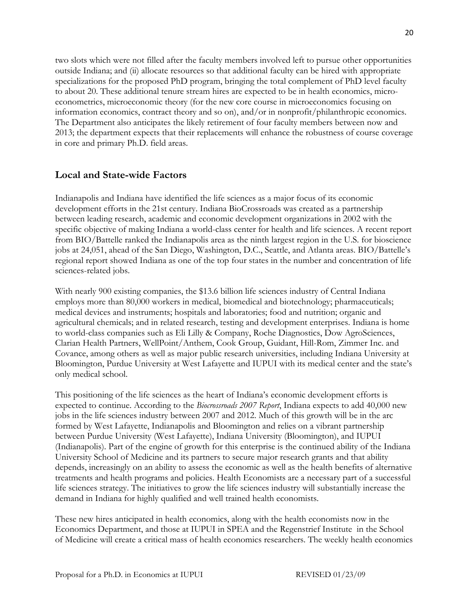two slots which were not filled after the faculty members involved left to pursue other opportunities outside Indiana; and (ii) allocate resources so that additional faculty can be hired with appropriate specializations for the proposed PhD program, bringing the total complement of PhD level faculty to about 20. These additional tenure stream hires are expected to be in health economics, microeconometrics, microeconomic theory (for the new core course in microeconomics focusing on information economics, contract theory and so on), and/or in nonprofit/philanthropic economics. The Department also anticipates the likely retirement of four faculty members between now and 2013; the department expects that their replacements will enhance the robustness of course coverage in core and primary Ph.D. field areas.

# **Local and State-wide Factors**

Indianapolis and Indiana have identified the life sciences as a major focus of its economic development efforts in the 21st century. Indiana BioCrossroads was created as a partnership between leading research, academic and economic development organizations in 2002 with the specific objective of making Indiana a world-class center for health and life sciences. A recent report from BIO/Battelle ranked the Indianapolis area as the ninth largest region in the U.S. for bioscience jobs at 24,051, ahead of the San Diego, Washington, D.C., Seattle, and Atlanta areas. BIO/Battelle's regional report showed Indiana as one of the top four states in the number and concentration of life sciences-related jobs.

With nearly 900 existing companies, the \$13.6 billion life sciences industry of Central Indiana employs more than 80,000 workers in medical, biomedical and biotechnology; pharmaceuticals; medical devices and instruments; hospitals and laboratories; food and nutrition; organic and agricultural chemicals; and in related research, testing and development enterprises. Indiana is home to world-class companies such as Eli Lilly & Company, Roche Diagnostics, Dow AgroSciences, Clarian Health Partners, WellPoint/Anthem, Cook Group, Guidant, Hill-Rom, Zimmer Inc. and Covance, among others as well as major public research universities, including Indiana University at Bloomington, Purdue University at West Lafayette and IUPUI with its medical center and the state's only medical school.

This positioning of the life sciences as the heart of Indiana's economic development efforts is expected to continue. According to the *Biocrossroads 2007 Report*, Indiana expects to add 40,000 new jobs in the life sciences industry between 2007 and 2012. Much of this growth will be in the arc formed by West Lafayette, Indianapolis and Bloomington and relies on a vibrant partnership between Purdue University (West Lafayette), Indiana University (Bloomington), and IUPUI (Indianapolis). Part of the engine of growth for this enterprise is the continued ability of the Indiana University School of Medicine and its partners to secure major research grants and that ability depends, increasingly on an ability to assess the economic as well as the health benefits of alternative treatments and health programs and policies. Health Economists are a necessary part of a successful life sciences strategy. The initiatives to grow the life sciences industry will substantially increase the demand in Indiana for highly qualified and well trained health economists.

These new hires anticipated in health economics, along with the health economists now in the Economics Department, and those at IUPUI in SPEA and the Regenstrief Institute in the School of Medicine will create a critical mass of health economics researchers. The weekly health economics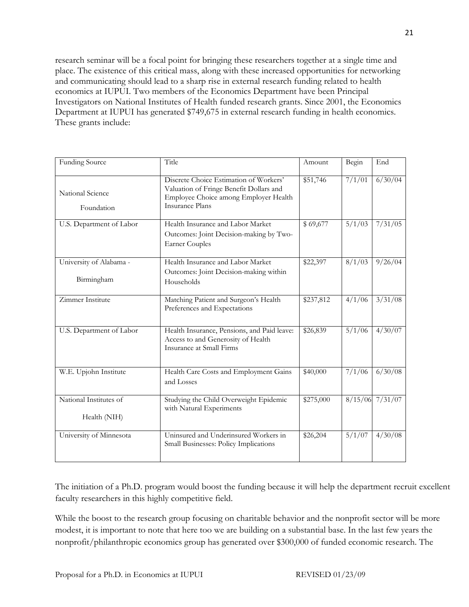research seminar will be a focal point for bringing these researchers together at a single time and place. The existence of this critical mass, along with these increased opportunities for networking and communicating should lead to a sharp rise in external research funding related to health economics at IUPUI. Two members of the Economics Department have been Principal Investigators on National Institutes of Health funded research grants. Since 2001, the Economics Department at IUPUI has generated \$749,675 in external research funding in health economics. These grants include:

| <b>Funding Source</b>                  | Title                                                                                                                                                | Amount    | Begin            | End               |
|----------------------------------------|------------------------------------------------------------------------------------------------------------------------------------------------------|-----------|------------------|-------------------|
| National Science<br>Foundation         | Discrete Choice Estimation of Workers'<br>Valuation of Fringe Benefit Dollars and<br>Employee Choice among Employer Health<br><b>Insurance Plans</b> | \$51,746  | 7/1/01           | 6/30/04           |
| U.S. Department of Labor               | Health Insurance and Labor Market<br>Outcomes: Joint Decision-making by Two-<br><b>Earner Couples</b>                                                | \$69,677  | 5/1/03           | 7/31/05           |
| University of Alabama -<br>Birmingham  | Health Insurance and Labor Market<br>Outcomes: Joint Decision-making within<br>Households                                                            | \$22,397  | 8/1/03           | 9/26/04           |
| Zimmer Institute                       | Matching Patient and Surgeon's Health<br>Preferences and Expectations                                                                                | \$237,812 | 4/1/06           | 3/31/08           |
| U.S. Department of Labor               | Health Insurance, Pensions, and Paid leave:<br>Access to and Generosity of Health<br>Insurance at Small Firms                                        | \$26,839  | $\frac{5}{1/06}$ | 4/30/07           |
| W.E. Upjohn Institute                  | Health Care Costs and Employment Gains<br>and Losses                                                                                                 | \$40,000  | 7/1/06           | 6/30/08           |
| National Institutes of<br>Health (NIH) | Studying the Child Overweight Epidemic<br>with Natural Experiments                                                                                   | \$275,000 |                  | $8/15/06$ 7/31/07 |
| University of Minnesota                | Uninsured and Underinsured Workers in<br>Small Businesses: Policy Implications                                                                       | \$26,204  | 5/1/07           | 4/30/08           |

The initiation of a Ph.D. program would boost the funding because it will help the department recruit excellent faculty researchers in this highly competitive field.

While the boost to the research group focusing on charitable behavior and the nonprofit sector will be more modest, it is important to note that here too we are building on a substantial base. In the last few years the nonprofit/philanthropic economics group has generated over \$300,000 of funded economic research. The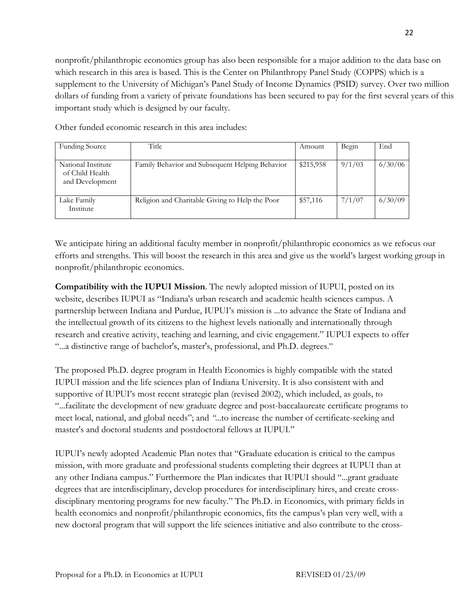nonprofit/philanthropic economics group has also been responsible for a major addition to the data base on which research in this area is based. This is the Center on Philanthropy Panel Study (COPPS) which is a supplement to the University of Michigan's Panel Study of Income Dynamics (PSID) survey. Over two million dollars of funding from a variety of private foundations has been secured to pay for the first several years of this important study which is designed by our faculty.

Other funded economic research in this area includes:

| <b>Funding Source</b>                                    | Title                                           | Amount    | Begin  | End     |
|----------------------------------------------------------|-------------------------------------------------|-----------|--------|---------|
| National Institute<br>of Child Health<br>and Development | Family Behavior and Subsequent Helping Behavior | \$215,958 | 9/1/03 | 6/30/06 |
| Lake Family<br>Institute                                 | Religion and Charitable Giving to Help the Poor | \$57,116  | 7/1/07 | 6/30/09 |

We anticipate hiring an additional faculty member in nonprofit/philanthropic economics as we refocus our efforts and strengths. This will boost the research in this area and give us the world's largest working group in nonprofit/philanthropic economics.

**Compatibility with the IUPUI Mission**. The newly adopted mission of IUPUI, posted on its website, describes IUPUI as "Indiana's urban research and academic health sciences campus. A partnership between Indiana and Purdue, IUPUI's mission is ...to advance the State of Indiana and the intellectual growth of its citizens to the highest levels nationally and internationally through research and creative activity, teaching and learning, and civic engagement." IUPUI expects to offer "...a distinctive range of bachelor's, master's, professional, and Ph.D. degrees."

The proposed Ph.D. degree program in Health Economics is highly compatible with the stated IUPUI mission and the life sciences plan of Indiana University. It is also consistent with and supportive of IUPUI's most recent strategic plan (revised 2002), which included, as goals, to "...facilitate the development of new graduate degree and post-baccalaureate certificate programs to meet local, national, and global needs"; and *"*...to increase the number of certificate-seeking and master's and doctoral students and postdoctoral fellows at IUPUI."

IUPUI's newly adopted Academic Plan notes that "Graduate education is critical to the campus mission, with more graduate and professional students completing their degrees at IUPUI than at any other Indiana campus." Furthermore the Plan indicates that IUPUI should "...grant graduate degrees that are interdisciplinary, develop procedures for interdisciplinary hires, and create crossdisciplinary mentoring programs for new faculty." The Ph.D. in Economics, with primary fields in health economics and nonprofit/philanthropic economics, fits the campus's plan very well, with a new doctoral program that will support the life sciences initiative and also contribute to the cross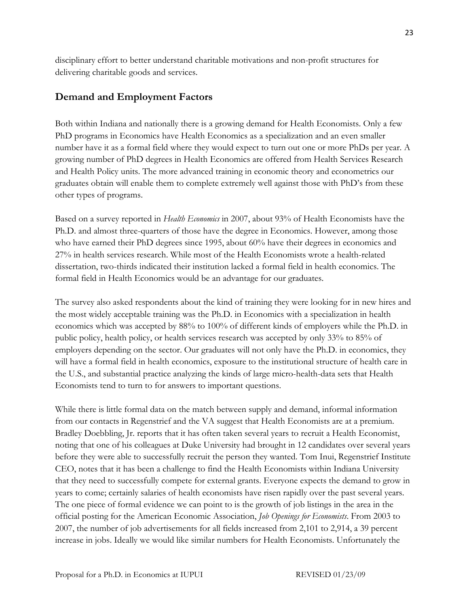disciplinary effort to better understand charitable motivations and non-profit structures for delivering charitable goods and services.

# **Demand and Employment Factors**

Both within Indiana and nationally there is a growing demand for Health Economists. Only a few PhD programs in Economics have Health Economics as a specialization and an even smaller number have it as a formal field where they would expect to turn out one or more PhDs per year. A growing number of PhD degrees in Health Economics are offered from Health Services Research and Health Policy units. The more advanced training in economic theory and econometrics our graduates obtain will enable them to complete extremely well against those with PhD's from these other types of programs.

Based on a survey reported in *Health Economics* in 2007, about 93% of Health Economists have the Ph.D. and almost three-quarters of those have the degree in Economics. However, among those who have earned their PhD degrees since 1995, about 60% have their degrees in economics and 27% in health services research. While most of the Health Economists wrote a health-related dissertation, two-thirds indicated their institution lacked a formal field in health economics. The formal field in Health Economics would be an advantage for our graduates.

The survey also asked respondents about the kind of training they were looking for in new hires and the most widely acceptable training was the Ph.D. in Economics with a specialization in health economics which was accepted by 88% to 100% of different kinds of employers while the Ph.D. in public policy, health policy, or health services research was accepted by only 33% to 85% of employers depending on the sector. Our graduates will not only have the Ph.D. in economics, they will have a formal field in health economics, exposure to the institutional structure of health care in the U.S., and substantial practice analyzing the kinds of large micro-health-data sets that Health Economists tend to turn to for answers to important questions.

While there is little formal data on the match between supply and demand, informal information from our contacts in Regenstrief and the VA suggest that Health Economists are at a premium. Bradley Doebbling, Jr. reports that it has often taken several years to recruit a Health Economist, noting that one of his colleagues at Duke University had brought in 12 candidates over several years before they were able to successfully recruit the person they wanted. Tom Inui, Regenstrief Institute CEO, notes that it has been a challenge to find the Health Economists within Indiana University that they need to successfully compete for external grants. Everyone expects the demand to grow in years to come; certainly salaries of health economists have risen rapidly over the past several years. The one piece of formal evidence we can point to is the growth of job listings in the area in the official posting for the American Economic Association, *Job Openings for Economists*. From 2003 to 2007, the number of job advertisements for all fields increased from 2,101 to 2,914, a 39 percent increase in jobs. Ideally we would like similar numbers for Health Economists. Unfortunately the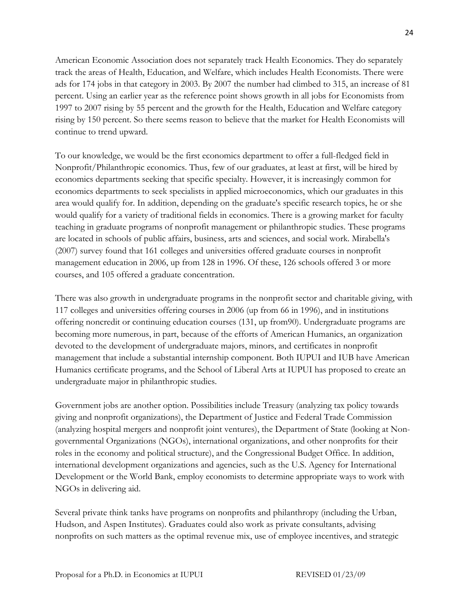American Economic Association does not separately track Health Economics. They do separately track the areas of Health, Education, and Welfare, which includes Health Economists. There were ads for 174 jobs in that category in 2003. By 2007 the number had climbed to 315, an increase of 81 percent. Using an earlier year as the reference point shows growth in all jobs for Economists from 1997 to 2007 rising by 55 percent and the growth for the Health, Education and Welfare category rising by 150 percent. So there seems reason to believe that the market for Health Economists will continue to trend upward.

To our knowledge, we would be the first economics department to offer a full-fledged field in Nonprofit/Philanthropic economics. Thus, few of our graduates, at least at first, will be hired by economics departments seeking that specific specialty. However, it is increasingly common for economics departments to seek specialists in applied microeconomics, which our graduates in this area would qualify for. In addition, depending on the graduate's specific research topics, he or she would qualify for a variety of traditional fields in economics. There is a growing market for faculty teaching in graduate programs of nonprofit management or philanthropic studies. These programs are located in schools of public affairs, business, arts and sciences, and social work. Mirabella's (2007) survey found that 161 colleges and universities offered graduate courses in nonprofit management education in 2006, up from 128 in 1996. Of these, 126 schools offered 3 or more courses, and 105 offered a graduate concentration.

There was also growth in undergraduate programs in the nonprofit sector and charitable giving, with 117 colleges and universities offering courses in 2006 (up from 66 in 1996), and in institutions offering noncredit or continuing education courses (131, up from90). Undergraduate programs are becoming more numerous, in part, because of the efforts of American Humanics, an organization devoted to the development of undergraduate majors, minors, and certificates in nonprofit management that include a substantial internship component. Both IUPUI and IUB have American Humanics certificate programs, and the School of Liberal Arts at IUPUI has proposed to create an undergraduate major in philanthropic studies.

Government jobs are another option. Possibilities include Treasury (analyzing tax policy towards giving and nonprofit organizations), the Department of Justice and Federal Trade Commission (analyzing hospital mergers and nonprofit joint ventures), the Department of State (looking at Nongovernmental Organizations (NGOs), international organizations, and other nonprofits for their roles in the economy and political structure), and the Congressional Budget Office. In addition, international development organizations and agencies, such as the U.S. Agency for International Development or the World Bank, employ economists to determine appropriate ways to work with NGOs in delivering aid.

Several private think tanks have programs on nonprofits and philanthropy (including the Urban, Hudson, and Aspen Institutes). Graduates could also work as private consultants, advising nonprofits on such matters as the optimal revenue mix, use of employee incentives, and strategic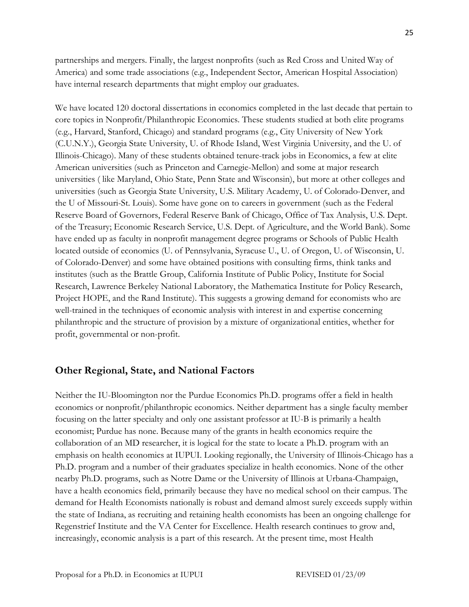partnerships and mergers. Finally, the largest nonprofits (such as Red Cross and United Way of America) and some trade associations (e.g., Independent Sector, American Hospital Association) have internal research departments that might employ our graduates.

We have located 120 doctoral dissertations in economics completed in the last decade that pertain to core topics in Nonprofit/Philanthropic Economics. These students studied at both elite programs (e.g., Harvard, Stanford, Chicago) and standard programs (e.g., City University of New York (C.U.N.Y.), Georgia State University, U. of Rhode Island, West Virginia University, and the U. of Illinois-Chicago). Many of these students obtained tenure-track jobs in Economics, a few at elite American universities (such as Princeton and Carnegie-Mellon) and some at major research universities ( like Maryland, Ohio State, Penn State and Wisconsin), but more at other colleges and universities (such as Georgia State University, U.S. Military Academy, U. of Colorado-Denver, and the U of Missouri-St. Louis). Some have gone on to careers in government (such as the Federal Reserve Board of Governors, Federal Reserve Bank of Chicago, Office of Tax Analysis, U.S. Dept. of the Treasury; Economic Research Service, U.S. Dept. of Agriculture, and the World Bank). Some have ended up as faculty in nonprofit management degree programs or Schools of Public Health located outside of economics (U. of Pennsylvania, Syracuse U., U. of Oregon, U. of Wisconsin, U. of Colorado-Denver) and some have obtained positions with consulting firms, think tanks and institutes (such as the Brattle Group, California Institute of Public Policy, Institute for Social Research, Lawrence Berkeley National Laboratory, the Mathematica Institute for Policy Research, Project HOPE, and the Rand Institute). This suggests a growing demand for economists who are well-trained in the techniques of economic analysis with interest in and expertise concerning philanthropic and the structure of provision by a mixture of organizational entities, whether for profit, governmental or non-profit.

## **Other Regional, State, and National Factors**

Neither the IU-Bloomington nor the Purdue Economics Ph.D. programs offer a field in health economics or nonprofit/philanthropic economics. Neither department has a single faculty member focusing on the latter specialty and only one assistant professor at IU-B is primarily a health economist; Purdue has none. Because many of the grants in health economics require the collaboration of an MD researcher, it is logical for the state to locate a Ph.D. program with an emphasis on health economics at IUPUI. Looking regionally, the University of Illinois-Chicago has a Ph.D. program and a number of their graduates specialize in health economics. None of the other nearby Ph.D. programs, such as Notre Dame or the University of Illinois at Urbana-Champaign, have a health economics field, primarily because they have no medical school on their campus. The demand for Health Economists nationally is robust and demand almost surely exceeds supply within the state of Indiana, as recruiting and retaining health economists has been an ongoing challenge for Regenstrief Institute and the VA Center for Excellence. Health research continues to grow and, increasingly, economic analysis is a part of this research. At the present time, most Health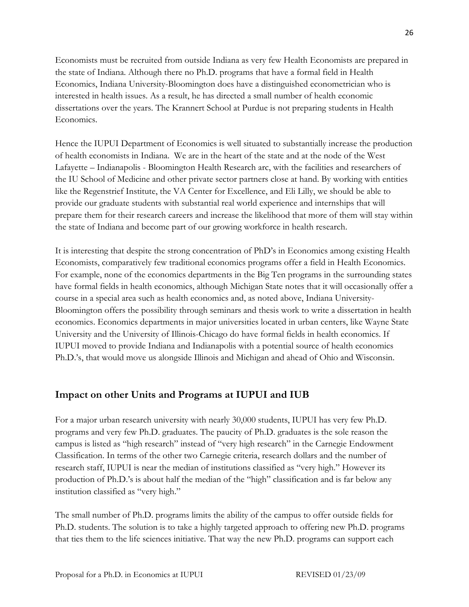Economists must be recruited from outside Indiana as very few Health Economists are prepared in the state of Indiana. Although there no Ph.D. programs that have a formal field in Health Economics, Indiana University-Bloomington does have a distinguished econometrician who is interested in health issues. As a result, he has directed a small number of health economic dissertations over the years. The Krannert School at Purdue is not preparing students in Health Economics.

Hence the IUPUI Department of Economics is well situated to substantially increase the production of health economists in Indiana. We are in the heart of the state and at the node of the West Lafayette – Indianapolis - Bloomington Health Research arc, with the facilities and researchers of the IU School of Medicine and other private sector partners close at hand. By working with entities like the Regenstrief Institute, the VA Center for Excellence, and Eli Lilly, we should be able to provide our graduate students with substantial real world experience and internships that will prepare them for their research careers and increase the likelihood that more of them will stay within the state of Indiana and become part of our growing workforce in health research.

It is interesting that despite the strong concentration of PhD's in Economics among existing Health Economists, comparatively few traditional economics programs offer a field in Health Economics. For example, none of the economics departments in the Big Ten programs in the surrounding states have formal fields in health economics, although Michigan State notes that it will occasionally offer a course in a special area such as health economics and, as noted above, Indiana University-Bloomington offers the possibility through seminars and thesis work to write a dissertation in health economics. Economics departments in major universities located in urban centers, like Wayne State University and the University of Illinois-Chicago do have formal fields in health economics. If IUPUI moved to provide Indiana and Indianapolis with a potential source of health economics Ph.D.'s, that would move us alongside Illinois and Michigan and ahead of Ohio and Wisconsin.

# **Impact on other Units and Programs at IUPUI and IUB**

For a major urban research university with nearly 30,000 students, IUPUI has very few Ph.D. programs and very few Ph.D. graduates. The paucity of Ph.D. graduates is the sole reason the campus is listed as "high research" instead of "very high research" in the Carnegie Endowment Classification. In terms of the other two Carnegie criteria, research dollars and the number of research staff, IUPUI is near the median of institutions classified as "very high." However its production of Ph.D.'s is about half the median of the "high" classification and is far below any institution classified as "very high."

The small number of Ph.D. programs limits the ability of the campus to offer outside fields for Ph.D. students. The solution is to take a highly targeted approach to offering new Ph.D. programs that ties them to the life sciences initiative. That way the new Ph.D. programs can support each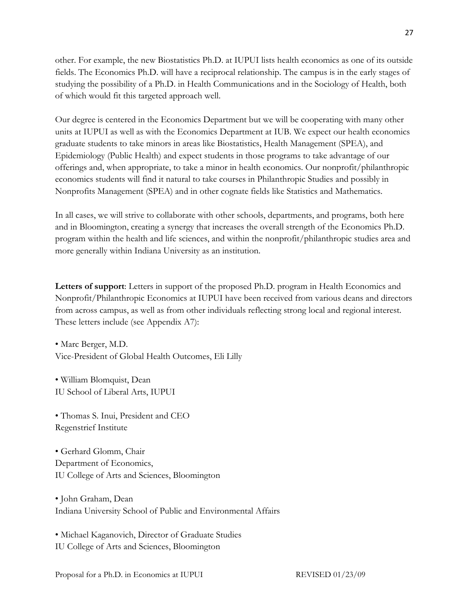other. For example, the new Biostatistics Ph.D. at IUPUI lists health economics as one of its outside fields. The Economics Ph.D. will have a reciprocal relationship. The campus is in the early stages of studying the possibility of a Ph.D. in Health Communications and in the Sociology of Health, both of which would fit this targeted approach well.

Our degree is centered in the Economics Department but we will be cooperating with many other units at IUPUI as well as with the Economics Department at IUB. We expect our health economics graduate students to take minors in areas like Biostatistics, Health Management (SPEA), and Epidemiology (Public Health) and expect students in those programs to take advantage of our offerings and, when appropriate, to take a minor in health economics. Our nonprofit/philanthropic economics students will find it natural to take courses in Philanthropic Studies and possibly in Nonprofits Management (SPEA) and in other cognate fields like Statistics and Mathematics.

In all cases, we will strive to collaborate with other schools, departments, and programs, both here and in Bloomington, creating a synergy that increases the overall strength of the Economics Ph.D. program within the health and life sciences, and within the nonprofit/philanthropic studies area and more generally within Indiana University as an institution.

**Letters of support**: Letters in support of the proposed Ph.D. program in Health Economics and Nonprofit/Philanthropic Economics at IUPUI have been received from various deans and directors from across campus, as well as from other individuals reflecting strong local and regional interest. These letters include (see Appendix A7):

• Marc Berger, M.D. Vice-President of Global Health Outcomes, Eli Lilly

• William Blomquist, Dean IU School of Liberal Arts, IUPUI

• Thomas S. Inui, President and CEO Regenstrief Institute

• Gerhard Glomm, Chair Department of Economics, IU College of Arts and Sciences, Bloomington

• John Graham, Dean Indiana University School of Public and Environmental Affairs

• Michael Kaganovich, Director of Graduate Studies IU College of Arts and Sciences, Bloomington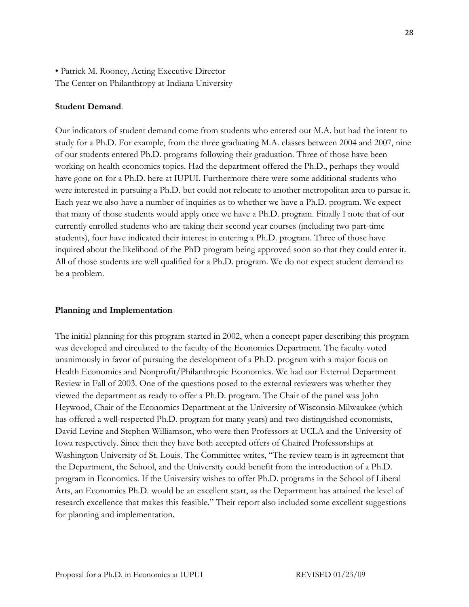• Patrick M. Rooney, Acting Executive Director The Center on Philanthropy at Indiana University

#### **Student Demand**.

Our indicators of student demand come from students who entered our M.A. but had the intent to study for a Ph.D. For example, from the three graduating M.A. classes between 2004 and 2007, nine of our students entered Ph.D. programs following their graduation. Three of those have been working on health economics topics. Had the department offered the Ph.D., perhaps they would have gone on for a Ph.D. here at IUPUI. Furthermore there were some additional students who were interested in pursuing a Ph.D. but could not relocate to another metropolitan area to pursue it. Each year we also have a number of inquiries as to whether we have a Ph.D. program. We expect that many of those students would apply once we have a Ph.D. program. Finally I note that of our currently enrolled students who are taking their second year courses (including two part-time students), four have indicated their interest in entering a Ph.D. program. Three of those have inquired about the likelihood of the PhD program being approved soon so that they could enter it. All of those students are well qualified for a Ph.D. program. We do not expect student demand to be a problem.

#### **Planning and Implementation**

The initial planning for this program started in 2002, when a concept paper describing this program was developed and circulated to the faculty of the Economics Department. The faculty voted unanimously in favor of pursuing the development of a Ph.D. program with a major focus on Health Economics and Nonprofit/Philanthropic Economics. We had our External Department Review in Fall of 2003. One of the questions posed to the external reviewers was whether they viewed the department as ready to offer a Ph.D. program. The Chair of the panel was John Heywood, Chair of the Economics Department at the University of Wisconsin-Milwaukee (which has offered a well-respected Ph.D. program for many years) and two distinguished economists, David Levine and Stephen Williamson, who were then Professors at UCLA and the University of Iowa respectively. Since then they have both accepted offers of Chaired Professorships at Washington University of St. Louis. The Committee writes, "The review team is in agreement that the Department, the School, and the University could benefit from the introduction of a Ph.D. program in Economics. If the University wishes to offer Ph.D. programs in the School of Liberal Arts, an Economics Ph.D. would be an excellent start, as the Department has attained the level of research excellence that makes this feasible." Their report also included some excellent suggestions for planning and implementation.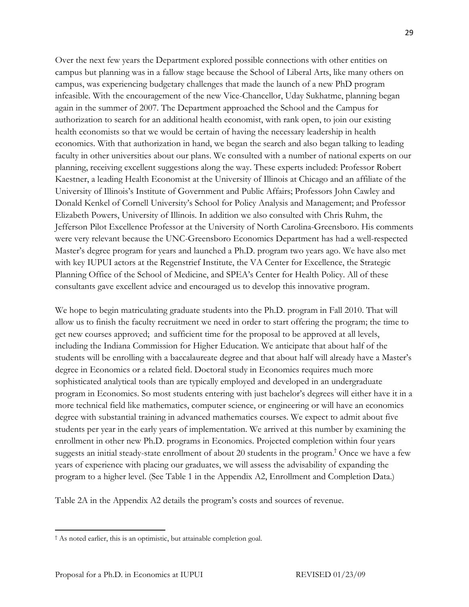Over the next few years the Department explored possible connections with other entities on campus but planning was in a fallow stage because the School of Liberal Arts, like many others on campus, was experiencing budgetary challenges that made the launch of a new PhD program infeasible. With the encouragement of the new Vice-Chancellor, Uday Sukhatme, planning began again in the summer of 2007. The Department approached the School and the Campus for authorization to search for an additional health economist, with rank open, to join our existing health economists so that we would be certain of having the necessary leadership in health economics. With that authorization in hand, we began the search and also began talking to leading faculty in other universities about our plans. We consulted with a number of national experts on our planning, receiving excellent suggestions along the way. These experts included: Professor Robert Kaestner, a leading Health Economist at the University of Illinois at Chicago and an affiliate of the University of Illinois's Institute of Government and Public Affairs; Professors John Cawley and Donald Kenkel of Cornell University's School for Policy Analysis and Management; and Professor Elizabeth Powers, University of Illinois. In addition we also consulted with Chris Ruhm, the Jefferson Pilot Excellence Professor at the University of North Carolina-Greensboro. His comments were very relevant because the UNC-Greensboro Economics Department has had a well-respected Master's degree program for years and launched a Ph.D. program two years ago. We have also met with key IUPUI actors at the Regenstrief Institute, the VA Center for Excellence, the Strategic Planning Office of the School of Medicine, and SPEA's Center for Health Policy. All of these consultants gave excellent advice and encouraged us to develop this innovative program.

We hope to begin matriculating graduate students into the Ph.D. program in Fall 2010. That will allow us to finish the faculty recruitment we need in order to start offering the program; the time to get new courses approved; and sufficient time for the proposal to be approved at all levels, including the Indiana Commission for Higher Education. We anticipate that about half of the students will be enrolling with a baccalaureate degree and that about half will already have a Master's degree in Economics or a related field. Doctoral study in Economics requires much more sophisticated analytical tools than are typically employed and developed in an undergraduate program in Economics. So most students entering with just bachelor's degrees will either have it in a more technical field like mathematics, computer science, or engineering or will have an economics degree with substantial training in advanced mathematics courses. We expect to admit about five students per year in the early years of implementation. We arrived at this number by examining the enrollment in other new Ph.D. programs in Economics. Projected completion within four years suggests an initial steady-state enrollment of about 20 students in the program.† Once we have a few years of experience with placing our graduates, we will assess the advisability of expanding the program to a higher level. (See Table 1 in the Appendix A2, Enrollment and Completion Data.)

Table 2A in the Appendix A2 details the program's costs and sources of revenue.

 † As noted earlier, this is an optimistic, but attainable completion goal.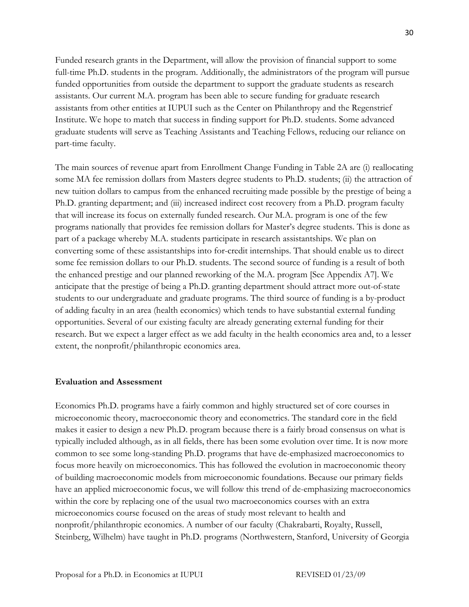Funded research grants in the Department, will allow the provision of financial support to some full-time Ph.D. students in the program. Additionally, the administrators of the program will pursue funded opportunities from outside the department to support the graduate students as research assistants. Our current M.A. program has been able to secure funding for graduate research assistants from other entities at IUPUI such as the Center on Philanthropy and the Regenstrief Institute. We hope to match that success in finding support for Ph.D. students. Some advanced graduate students will serve as Teaching Assistants and Teaching Fellows, reducing our reliance on part-time faculty.

The main sources of revenue apart from Enrollment Change Funding in Table 2A are (i) reallocating some MA fee remission dollars from Masters degree students to Ph.D. students; (ii) the attraction of new tuition dollars to campus from the enhanced recruiting made possible by the prestige of being a Ph.D. granting department; and (iii) increased indirect cost recovery from a Ph.D. program faculty that will increase its focus on externally funded research. Our M.A. program is one of the few programs nationally that provides fee remission dollars for Master's degree students. This is done as part of a package whereby M.A. students participate in research assistantships. We plan on converting some of these assistantships into for-credit internships. That should enable us to direct some fee remission dollars to our Ph.D. students. The second source of funding is a result of both the enhanced prestige and our planned reworking of the M.A. program [See Appendix A7]. We anticipate that the prestige of being a Ph.D. granting department should attract more out-of-state students to our undergraduate and graduate programs. The third source of funding is a by-product of adding faculty in an area (health economics) which tends to have substantial external funding opportunities. Several of our existing faculty are already generating external funding for their research. But we expect a larger effect as we add faculty in the health economics area and, to a lesser extent, the nonprofit/philanthropic economics area.

#### **Evaluation and Assessment**

Economics Ph.D. programs have a fairly common and highly structured set of core courses in microeconomic theory, macroeconomic theory and econometrics. The standard core in the field makes it easier to design a new Ph.D. program because there is a fairly broad consensus on what is typically included although, as in all fields, there has been some evolution over time. It is now more common to see some long-standing Ph.D. programs that have de-emphasized macroeconomics to focus more heavily on microeconomics. This has followed the evolution in macroeconomic theory of building macroeconomic models from microeconomic foundations. Because our primary fields have an applied microeconomic focus, we will follow this trend of de-emphasizing macroeconomics within the core by replacing one of the usual two macroeconomics courses with an extra microeconomics course focused on the areas of study most relevant to health and nonprofit/philanthropic economics. A number of our faculty (Chakrabarti, Royalty, Russell, Steinberg, Wilhelm) have taught in Ph.D. programs (Northwestern, Stanford, University of Georgia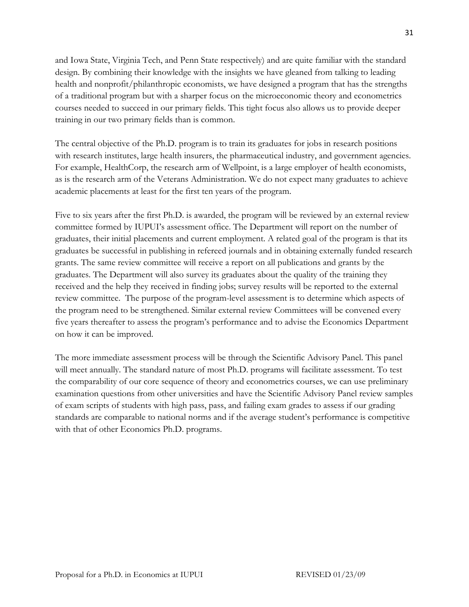and Iowa State, Virginia Tech, and Penn State respectively) and are quite familiar with the standard design. By combining their knowledge with the insights we have gleaned from talking to leading health and nonprofit/philanthropic economists, we have designed a program that has the strengths of a traditional program but with a sharper focus on the microeconomic theory and econometrics courses needed to succeed in our primary fields. This tight focus also allows us to provide deeper training in our two primary fields than is common.

The central objective of the Ph.D. program is to train its graduates for jobs in research positions with research institutes, large health insurers, the pharmaceutical industry, and government agencies. For example, HealthCorp, the research arm of Wellpoint, is a large employer of health economists, as is the research arm of the Veterans Administration. We do not expect many graduates to achieve academic placements at least for the first ten years of the program.

Five to six years after the first Ph.D. is awarded, the program will be reviewed by an external review committee formed by IUPUI's assessment office. The Department will report on the number of graduates, their initial placements and current employment. A related goal of the program is that its graduates be successful in publishing in refereed journals and in obtaining externally funded research grants. The same review committee will receive a report on all publications and grants by the graduates. The Department will also survey its graduates about the quality of the training they received and the help they received in finding jobs; survey results will be reported to the external review committee. The purpose of the program-level assessment is to determine which aspects of the program need to be strengthened. Similar external review Committees will be convened every five years thereafter to assess the program's performance and to advise the Economics Department on how it can be improved.

The more immediate assessment process will be through the Scientific Advisory Panel. This panel will meet annually. The standard nature of most Ph.D. programs will facilitate assessment. To test the comparability of our core sequence of theory and econometrics courses, we can use preliminary examination questions from other universities and have the Scientific Advisory Panel review samples of exam scripts of students with high pass, pass, and failing exam grades to assess if our grading standards are comparable to national norms and if the average student's performance is competitive with that of other Economics Ph.D. programs.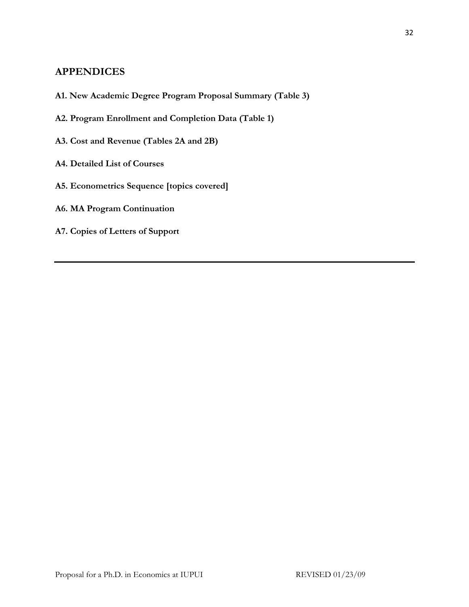# **APPENDICES**

- **A1. New Academic Degree Program Proposal Summary (Table 3)**
- **A2. Program Enrollment and Completion Data (Table 1)**
- **A3. Cost and Revenue (Tables 2A and 2B)**
- **A4. Detailed List of Courses**
- **A5. Econometrics Sequence [topics covered]**
- **A6. MA Program Continuation**
- **A7. Copies of Letters of Support**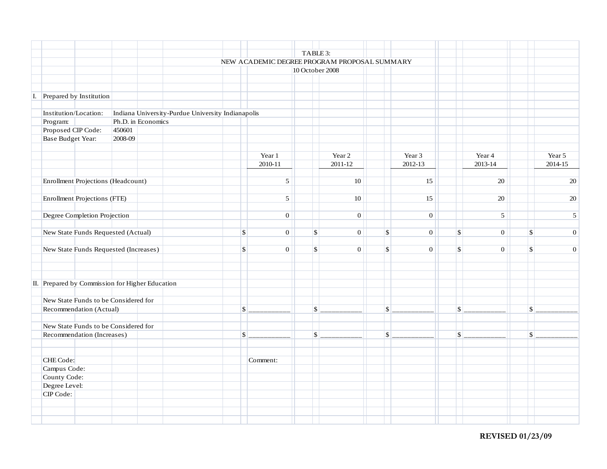|                                                 | TABLE 3:           |                                                                 |                                                   |                          |                 |  |              |                  |             |                  |                           |                  |                           |                  |
|-------------------------------------------------|--------------------|-----------------------------------------------------------------|---------------------------------------------------|--------------------------|-----------------|--|--------------|------------------|-------------|------------------|---------------------------|------------------|---------------------------|------------------|
|                                                 |                    | NEW ACADEMIC DEGREE PROGRAM PROPOSAL SUMMARY<br>10 October 2008 |                                                   |                          |                 |  |              |                  |             |                  |                           |                  |                           |                  |
|                                                 |                    |                                                                 |                                                   |                          |                 |  |              |                  |             |                  |                           |                  |                           |                  |
|                                                 |                    |                                                                 |                                                   |                          |                 |  |              |                  |             |                  |                           |                  |                           |                  |
|                                                 |                    |                                                                 |                                                   |                          |                 |  |              |                  |             |                  |                           |                  |                           |                  |
| I. Prepared by Institution                      |                    |                                                                 |                                                   |                          |                 |  |              |                  |             |                  |                           |                  |                           |                  |
| Institution/Location:                           |                    |                                                                 | Indiana University-Purdue University Indianapolis |                          |                 |  |              |                  |             |                  |                           |                  |                           |                  |
| Program:                                        | Ph.D. in Economics |                                                                 |                                                   |                          |                 |  |              |                  |             |                  |                           |                  |                           |                  |
| Proposed CIP Code:                              | 450601             |                                                                 |                                                   |                          |                 |  |              |                  |             |                  |                           |                  |                           |                  |
| <b>Base Budget Year:</b>                        | 2008-09            |                                                                 |                                                   |                          |                 |  |              |                  |             |                  |                           |                  |                           |                  |
|                                                 |                    |                                                                 |                                                   |                          |                 |  |              |                  |             |                  |                           |                  |                           |                  |
|                                                 |                    |                                                                 |                                                   |                          | Year 1          |  |              | Year 2           |             | Year 3           |                           | Year 4           |                           | Year 5           |
|                                                 |                    |                                                                 |                                                   |                          | 2010-11         |  |              | 2011-12          |             | 2012-13          |                           | 2013-14          |                           | 2014-15          |
|                                                 |                    |                                                                 |                                                   |                          |                 |  |              |                  |             |                  |                           |                  |                           |                  |
| Enrollment Projections (Headcount)              |                    |                                                                 |                                                   |                          | $\sqrt{5}$      |  |              | $10\,$           |             | 15               |                           | $20\,$           |                           | $20\,$           |
| Enrollment Projections (FTE)                    |                    |                                                                 |                                                   |                          | $5\overline{)}$ |  |              | 10               |             | 15               |                           | 20               |                           | $\overline{20}$  |
|                                                 |                    |                                                                 |                                                   |                          |                 |  |              |                  |             |                  |                           |                  |                           |                  |
| Degree Completion Projection                    |                    |                                                                 |                                                   |                          | $\mathbf{0}$    |  |              | $\mathbf{0}$     |             | $\mathbf{0}$     |                           | $5\overline{)}$  |                           | $\sqrt{5}$       |
| New State Funds Requested (Actual)              |                    |                                                                 |                                                   | $\mathbf{s}$             | $\overline{0}$  |  | $\mathbf{s}$ | $\boldsymbol{0}$ | $\mathbb S$ | $\boldsymbol{0}$ | $\boldsymbol{\mathsf{S}}$ | $\boldsymbol{0}$ | \$                        | $\mathbf{0}$     |
|                                                 |                    |                                                                 |                                                   |                          |                 |  |              |                  |             |                  |                           |                  |                           |                  |
| New State Funds Requested (Increases)           |                    |                                                                 |                                                   | $\sqrt{3}$               | $\mathbf{0}$    |  | $\sqrt{S}$   | $\mathbf{0}$     | $\sqrt{S}$  | $\mathbf{0}$     | $\sqrt{S}$                | $\mathbf{0}$     | \$                        | $\boldsymbol{0}$ |
|                                                 |                    |                                                                 |                                                   |                          |                 |  |              |                  |             |                  |                           |                  |                           |                  |
|                                                 |                    |                                                                 |                                                   |                          |                 |  |              |                  |             |                  |                           |                  |                           |                  |
| II. Prepared by Commission for Higher Education |                    |                                                                 |                                                   |                          |                 |  |              |                  |             |                  |                           |                  |                           |                  |
| New State Funds to be Considered for            |                    |                                                                 |                                                   |                          |                 |  |              |                  |             |                  |                           |                  |                           |                  |
| Recommendation (Actual)                         |                    |                                                                 |                                                   | $\vert \mathsf{s} \vert$ |                 |  | $\sqrt{S}$   |                  | $\sqrt{S}$  |                  | $\sqrt{S}$                |                  | $\boldsymbol{\mathsf{S}}$ |                  |
| New State Funds to be Considered for            |                    |                                                                 |                                                   |                          |                 |  |              |                  |             |                  |                           |                  |                           |                  |
| Recommendation (Increases)                      |                    |                                                                 |                                                   | S                        |                 |  | $\sqrt{S}$   |                  | $\sqrt{S}$  |                  | $\boldsymbol{\mathsf{S}}$ |                  | $\sqrt{S}$                |                  |
|                                                 |                    |                                                                 |                                                   |                          |                 |  |              |                  |             |                  |                           |                  |                           |                  |
| CHE Code:                                       |                    |                                                                 |                                                   |                          | Comment:        |  |              |                  |             |                  |                           |                  |                           |                  |
| Campus Code:                                    |                    |                                                                 |                                                   |                          |                 |  |              |                  |             |                  |                           |                  |                           |                  |
| County Code:                                    |                    |                                                                 |                                                   |                          |                 |  |              |                  |             |                  |                           |                  |                           |                  |
| Degree Level:                                   |                    |                                                                 |                                                   |                          |                 |  |              |                  |             |                  |                           |                  |                           |                  |
| CIP Code:                                       |                    |                                                                 |                                                   |                          |                 |  |              |                  |             |                  |                           |                  |                           |                  |
|                                                 |                    |                                                                 |                                                   |                          |                 |  |              |                  |             |                  |                           |                  |                           |                  |
|                                                 |                    |                                                                 |                                                   |                          |                 |  |              |                  |             |                  |                           |                  |                           |                  |
|                                                 |                    |                                                                 |                                                   |                          |                 |  |              |                  |             |                  |                           |                  |                           |                  |

**REVISED 01/23/09**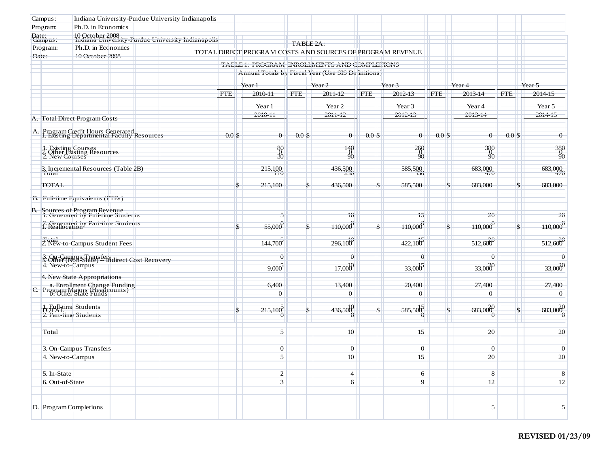| Campus:                                     | Indiana University-Purdue University Indianapolis                                            |                                       |                                                           |               |                    |               |                         |                      |                              |            |                                        |
|---------------------------------------------|----------------------------------------------------------------------------------------------|---------------------------------------|-----------------------------------------------------------|---------------|--------------------|---------------|-------------------------|----------------------|------------------------------|------------|----------------------------------------|
| Program:                                    | Ph.D. in Economics                                                                           |                                       |                                                           |               |                    |               |                         |                      |                              |            |                                        |
| Date:<br>Campus:                            | 10 October 2008<br>Indiana University-Purdue University Indianapolis                         |                                       |                                                           | TABLE 2A:     |                    |               |                         |                      |                              |            |                                        |
| Program:                                    | Ph.D. in Eccnomics                                                                           |                                       | TOTAL DIRECT PROGRAM COSTS AND SOURCES OF PROGRAM REVENUE |               |                    |               |                         | ш                    |                              |            | w                                      |
| Date.                                       | 10 October 2008                                                                              |                                       | TABLE 1. PROGRAM ENROLLMENTS AND COMPLETIONS              |               |                    |               |                         |                      |                              |            |                                        |
|                                             |                                                                                              |                                       | Annual Totals by Fiscal Year (Use SIS Definitions)        |               |                    |               |                         | m<br>u.              |                              |            | m<br>a a                               |
|                                             |                                                                                              | Year <sub>2</sub><br>Year 3<br>Year 1 |                                                           |               |                    |               |                         |                      |                              |            |                                        |
|                                             |                                                                                              | <b>FTE</b>                            | 2010-11                                                   | <b>FTE</b>    | 2011-12            | <b>FTE</b>    | 2012-13                 | <b>FTE</b>           | Year <sub>4</sub><br>2013-14 | <b>FTE</b> | Year 5<br>2014-15                      |
|                                             |                                                                                              |                                       | $Ycat$ <sup>1</sup>                                       |               | $Ycat$ 2           |               | $Ycat$ <sup>3</sup>     |                      | Year 4                       |            | Y <sub>cat</sub> 5                     |
|                                             |                                                                                              |                                       | 2010-11                                                   |               | 2011-12            |               | 2012-13                 | m                    | 2013-14                      |            | 2014-15                                |
|                                             | A. Total Direct Program Costs                                                                |                                       |                                                           |               |                    |               |                         | ш                    |                              |            |                                        |
|                                             | A. Program Cledit Hours Generated<br>I. Existing Departmental Faculty Resources              | $0.0$ \$                              | $\theta$                                                  | $0.0$ \$      | $\theta$           | $0.0$ \$      | $\theta$                | $0.0$ \$             | $\theta$                     | $0.0$ \$   | $\theta$                               |
|                                             | 1. Existing Courses<br>2. Other Existing Resources<br>2. New Courses                         |                                       | 30<br>30                                                  |               | $\frac{140}{90}$   |               | $\frac{260}{20}$        | m                    | $\frac{380}{90}$             |            | $\frac{380}{90}$                       |
| Total                                       | 3. Incremental Resources (Table 2B)                                                          |                                       | 215,100                                                   |               | 436,500            |               | 585,500                 | H                    | 683,000                      |            | 683,000                                |
| <b>TOTAL</b>                                |                                                                                              | S                                     | 215,100                                                   | $\mathbf{s}$  | 436,500            | $\mathbf{s}$  | 585,500                 | $\mathsf{\$}$        | 683,000                      |            | $\mathbb{S}$<br>683,000                |
|                                             | <b>B.</b> Full-time Equivalents (FTEs)                                                       |                                       |                                                           |               |                    |               |                         | H<br>Œ               |                              |            | m                                      |
|                                             | B. Sources of Program Revenue<br>1. Generated by Full-time Students                          |                                       | 5                                                         |               | 10                 |               | 15                      | w                    | 20                           |            | 20                                     |
|                                             | 2. Generated by Part-time Students<br>1. Reallocation                                        | $\mathsf{\$}$                         | $-55,000$                                                 | $\mathbf{\$}$ | 110,000            | $\mathbf{s}$  | $-110,000$ <sup>0</sup> | $\sqrt{\frac{2}{2}}$ | $\frac{110,000}{9}$          |            | $110,000$ <sup>C</sup><br>$\mathsf{S}$ |
|                                             | Total<br>2. New-to-Campus Student Fees                                                       |                                       | 144,700                                                   |               | 296,100            |               | $-422,100$              | H.                   | 512,600                      |            | 512,600                                |
|                                             | 3. On-Campus Transfers<br>3. Other (Non-State) -- Indirect Cost Recovery<br>4. New-to-Campus |                                       | û                                                         |               | û                  |               | û                       |                      | $\hat{\mathbf{U}}$           |            | û                                      |
|                                             |                                                                                              |                                       | 9,000                                                     |               | 17,000             |               | $33,000^{5}$            | m<br>m               | 33,0000                      |            | 33,0000<br>п                           |
|                                             | 4. New State Appropriations                                                                  |                                       |                                                           |               |                    |               |                         | ш                    |                              |            |                                        |
|                                             | a. Enrollment Change Funding<br>C. Program Majors (Headcounts)<br>C. Other State Funds       |                                       | 6,400<br>$\theta$                                         |               | 13,400<br>$\theta$ |               | 20,400<br>$\theta$      | H.<br>UE.            | 27,400<br>$\overline{0}$     |            | 27,400<br>$\theta$<br>u u              |
| Tornation Students<br>2. Part-time Students |                                                                                              | $\mathcal{S}$                         | $-215,100$<br>Ü                                           | \$            | 436,500<br>Ü       | $\mathsf{\$}$ | $585,500^5$<br>Û        | ш<br>$\mathcal{S}$   | 683,000<br>Ü                 |            | 683,000<br>$\mathsf{S}$<br>Û           |
|                                             |                                                                                              |                                       |                                                           |               |                    |               |                         | H.                   |                              |            |                                        |
| Total                                       |                                                                                              |                                       | 5                                                         |               | 10                 |               | 15                      |                      | 20                           |            | 20                                     |
|                                             | 3. On-Campus Transfers                                                                       |                                       | $\mathbf{0}$                                              |               | $\mathbf{0}$       |               | $\boldsymbol{0}$        |                      | $\mathbf{0}$                 |            | $\boldsymbol{0}$                       |
| 4. New-to-Campus                            |                                                                                              |                                       | 5                                                         |               | $10\,$             |               | 15                      |                      | $20\,$                       |            | $20\,$                                 |
| 5. In-State                                 |                                                                                              |                                       | $\overline{c}$                                            |               | $\overline{4}$     |               | 6                       |                      | 8                            |            | $8\,$                                  |
| 6. Out-of-State                             |                                                                                              |                                       | 3 <sup>2</sup>                                            |               | 6                  |               | 9                       |                      | 12                           |            | 12                                     |
| D. Program Completions                      |                                                                                              |                                       |                                                           |               |                    |               |                         |                      | $\sqrt{5}$                   |            | 5                                      |
|                                             |                                                                                              |                                       |                                                           |               |                    |               |                         |                      |                              |            |                                        |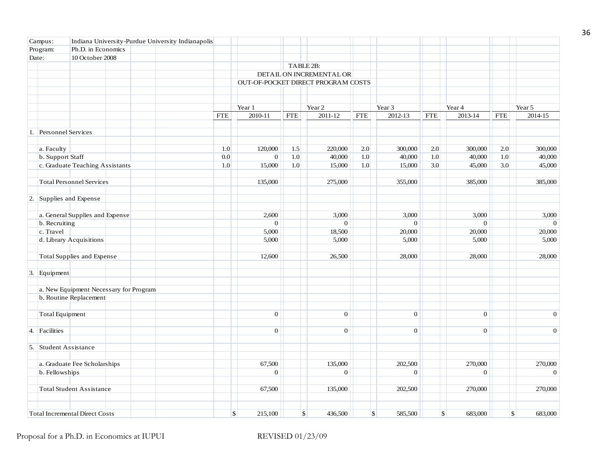| Campus:                 | Indiana University-Purdue University Indianapolis |            |                  |            |                                    |            |                       |            |                       |            |                       |
|-------------------------|---------------------------------------------------|------------|------------------|------------|------------------------------------|------------|-----------------------|------------|-----------------------|------------|-----------------------|
| Program:                | Ph.D. in Economics                                |            |                  |            |                                    |            |                       |            |                       |            |                       |
| Date:                   | 10 October 2008                                   |            |                  |            |                                    |            |                       |            |                       |            |                       |
|                         |                                                   |            |                  |            | TABLE 2B:                          |            |                       |            |                       |            |                       |
|                         |                                                   |            |                  |            | DETAIL ON INCREMENTAL OR           |            |                       |            |                       |            |                       |
|                         |                                                   |            |                  |            | OUT-OF-POCKET DIRECT PROGRAM COSTS |            |                       |            |                       |            |                       |
|                         |                                                   |            |                  |            |                                    |            |                       |            |                       |            |                       |
|                         |                                                   |            |                  |            |                                    |            |                       |            |                       |            |                       |
|                         |                                                   |            | Year 1           |            | Year 2                             |            | Year 3                |            | Year 4                |            | Year 5                |
|                         |                                                   | <b>FTE</b> | 2010-11          | <b>FTE</b> | 2011-12                            | <b>FTE</b> | 2012-13               | <b>FTE</b> | $2013 - 14$           | <b>FTE</b> | 2014-15               |
|                         |                                                   |            |                  |            |                                    |            |                       |            |                       |            |                       |
| 1. Personnel Services   |                                                   |            |                  |            |                                    |            |                       |            |                       |            |                       |
|                         |                                                   |            |                  |            |                                    |            |                       |            |                       |            |                       |
| a. Faculty              |                                                   | 1.0        | 120,000          | 1.5        | 220,000                            | 2.0        | 300,000               | 2.0        | 300,000               | 2.0        | 300,000               |
| b. Support Staff        |                                                   | 0.0        | $\boldsymbol{0}$ | 1.0        | 40,000                             | 1.0        | 40,000                | 1.0        | 40,000                | 1.0        | 40,000                |
|                         | c. Graduate Teaching Assistants                   | 1.0        | 15,000           | 1.0        | 15,000                             | 1.0        | 15,000                | 3.0        | 45,000                | 3.0        | 45,000                |
|                         | <b>Total Personnel Services</b>                   |            | 135,000          |            | 275,000                            |            | 355,000               |            | 385,000               |            | 385,000               |
| 2. Supplies and Expense |                                                   |            |                  |            |                                    |            |                       |            |                       |            |                       |
|                         | a. General Supplies and Expense                   |            | 2,600            |            | 3,000                              |            | 3,000                 |            | 3,000                 |            | 3,000                 |
| b. Recruiting           |                                                   |            | $\overline{0}$   |            | $\Omega$                           |            | $\overline{0}$        |            | $\overline{0}$        |            | $\mathbf{0}$          |
| c. Travel               |                                                   |            | 5,000            |            | 18,500                             |            | 20,000                |            | 20,000                |            | 20,000                |
|                         | d. Library Acquisitions                           |            | 5,000            |            | 5,000                              |            | 5,000                 |            | 5,000                 |            | 5,000                 |
|                         | Total Supplies and Expense                        |            | 12,600           |            | 26,500                             |            | 28,000                |            | 28,000                |            | 28,000                |
|                         |                                                   |            |                  |            |                                    |            |                       |            |                       |            |                       |
| 3. Equipment            |                                                   |            |                  |            |                                    |            |                       |            |                       |            |                       |
|                         | a. New Equipment Necessary for Program            |            |                  |            |                                    |            |                       |            |                       |            |                       |
|                         | b. Routine Replacement                            |            |                  |            |                                    |            |                       |            |                       |            |                       |
| <b>Total Equipment</b>  |                                                   |            | $\overline{0}$   |            | $\overline{0}$                     |            | $\mathbf{0}$          |            | $\vert 0 \vert$       |            | $\mathbf{0}$          |
| 4. Facilities           |                                                   |            | $\overline{0}$   |            | $\mathbf{0}$                       |            | $\mathbf{0}$          |            | $\overline{0}$        |            | $\mathbf{0}$          |
|                         |                                                   |            |                  |            |                                    |            |                       |            |                       |            |                       |
| 5. Student Assistance   |                                                   |            |                  |            |                                    |            |                       |            |                       |            |                       |
|                         | a. Graduate Fee Scholarships                      |            | 67,500           |            | 135,000                            |            | 202,500               |            | 270,000               |            | 270,000               |
| b. Fellowships          |                                                   |            | $\mathbf{0}$     |            | $\mathbf{0}$                       |            | $\mathbf{0}$          |            | $\mathbf{0}$          |            | $\mathbf{0}$          |
|                         | <b>Total Student Assistance</b>                   |            | 67,500           |            | 135,000                            |            | 202,500               |            | 270,000               |            | 270,000               |
|                         | <b>Total Incremental Direct Costs</b>             |            | \$<br>215,100    |            | $\mathbb{S}$<br>436,500            |            | $\sqrt{3}$<br>585,500 |            | $\sqrt{3}$<br>683,000 |            | $\sqrt{S}$<br>683,000 |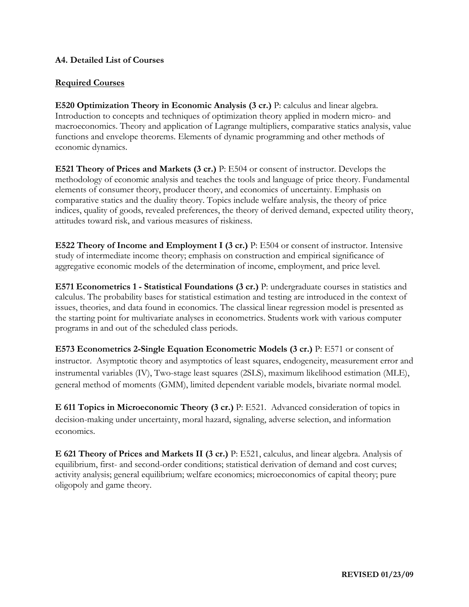## **A4. Detailed List of Courses**

# **Required Courses**

**E520 Optimization Theory in Economic Analysis (3 cr.)** P: calculus and linear algebra. Introduction to concepts and techniques of optimization theory applied in modern micro- and macroeconomics. Theory and application of Lagrange multipliers, comparative statics analysis, value functions and envelope theorems. Elements of dynamic programming and other methods of economic dynamics.

**E521 Theory of Prices and Markets (3 cr.)** P: E504 or consent of instructor. Develops the methodology of economic analysis and teaches the tools and language of price theory. Fundamental elements of consumer theory, producer theory, and economics of uncertainty. Emphasis on comparative statics and the duality theory. Topics include welfare analysis, the theory of price indices, quality of goods, revealed preferences, the theory of derived demand, expected utility theory, attitudes toward risk, and various measures of riskiness.

**E522 Theory of Income and Employment I (3 cr.)** P: E504 or consent of instructor. Intensive study of intermediate income theory; emphasis on construction and empirical significance of aggregative economic models of the determination of income, employment, and price level.

**E571 Econometrics 1 - Statistical Foundations (3 cr.)** P: undergraduate courses in statistics and calculus. The probability bases for statistical estimation and testing are introduced in the context of issues, theories, and data found in economics. The classical linear regression model is presented as the starting point for multivariate analyses in econometrics. Students work with various computer programs in and out of the scheduled class periods.

**E573 Econometrics 2-Single Equation Econometric Models (3 cr.)** P: E571 or consent of instructor. Asymptotic theory and asymptotics of least squares, endogeneity, measurement error and instrumental variables (IV), Two-stage least squares (2SLS), maximum likelihood estimation (MLE), general method of moments (GMM), limited dependent variable models, bivariate normal model.

**E 611 Topics in Microeconomic Theory (3 cr.)** P: E521. Advanced consideration of topics in decision-making under uncertainty, moral hazard, signaling, adverse selection, and information economics.

**E 621 Theory of Prices and Markets II (3 cr.)** P: E521, calculus, and linear algebra. Analysis of equilibrium, first- and second-order conditions; statistical derivation of demand and cost curves; activity analysis; general equilibrium; welfare economics; microeconomics of capital theory; pure oligopoly and game theory.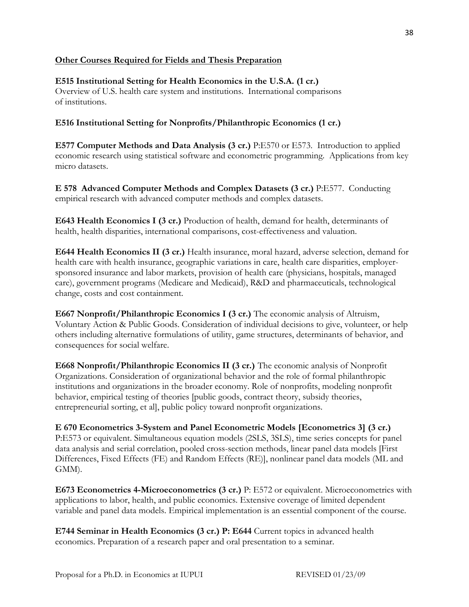# **Other Courses Required for Fields and Thesis Preparation**

# **E515 Institutional Setting for Health Economics in the U.S.A. (1 cr.)**

Overview of U.S. health care system and institutions. International comparisons of institutions.

## **E516 Institutional Setting for Nonprofits/Philanthropic Economics (1 cr.)**

**E577 Computer Methods and Data Analysis (3 cr.)** P:E570 or E573. Introduction to applied economic research using statistical software and econometric programming. Applications from key micro datasets.

**E 578 Advanced Computer Methods and Complex Datasets (3 cr.)** P:E577. Conducting empirical research with advanced computer methods and complex datasets.

**E643 Health Economics I (3 cr.)** Production of health, demand for health, determinants of health, health disparities, international comparisons, cost-effectiveness and valuation.

**E644 Health Economics II (3 cr.)** Health insurance, moral hazard, adverse selection, demand for health care with health insurance, geographic variations in care, health care disparities, employersponsored insurance and labor markets, provision of health care (physicians, hospitals, managed care), government programs (Medicare and Medicaid), R&D and pharmaceuticals, technological change, costs and cost containment.

**E667 Nonprofit/Philanthropic Economics I (3 cr.)** The economic analysis of Altruism, Voluntary Action & Public Goods. Consideration of individual decisions to give, volunteer, or help others including alternative formulations of utility, game structures, determinants of behavior, and consequences for social welfare.

**E668 Nonprofit/Philanthropic Economics II (3 cr.)** The economic analysis of Nonprofit Organizations. Consideration of organizational behavior and the role of formal philanthropic institutions and organizations in the broader economy. Role of nonprofits, modeling nonprofit behavior, empirical testing of theories [public goods, contract theory, subsidy theories, entrepreneurial sorting, et al], public policy toward nonprofit organizations.

**E 670 Econometrics 3-System and Panel Econometric Models [Econometrics 3] (3 cr.)**  P:E573 or equivalent. Simultaneous equation models (2SLS, 3SLS), time series concepts for panel data analysis and serial correlation, pooled cross-section methods, linear panel data models [First Differences, Fixed Effects (FE) and Random Effects (RE)], nonlinear panel data models (ML and GMM).

**E673 Econometrics 4-Microeconometrics (3 cr.)** P: E572 or equivalent. Microeconometrics with applications to labor, health, and public economics. Extensive coverage of limited dependent variable and panel data models. Empirical implementation is an essential component of the course.

**E744 Seminar in Health Economics (3 cr.) P: E644** Current topics in advanced health economics. Preparation of a research paper and oral presentation to a seminar.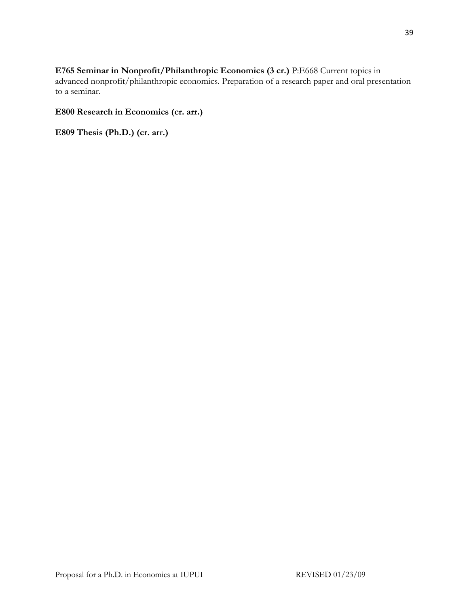**E765 Seminar in Nonprofit/Philanthropic Economics (3 cr.)** P:E668 Current topics in advanced nonprofit/philanthropic economics. Preparation of a research paper and oral presentation to a seminar.

# **E800 Research in Economics (cr. arr.)**

**E809 Thesis (Ph.D.) (cr. arr.)**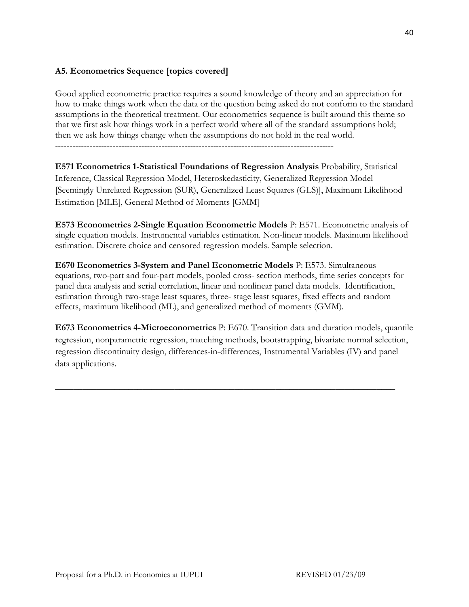# **A5. Econometrics Sequence [topics covered]**

Good applied econometric practice requires a sound knowledge of theory and an appreciation for how to make things work when the data or the question being asked do not conform to the standard assumptions in the theoretical treatment. Our econometrics sequence is built around this theme so that we first ask how things work in a perfect world where all of the standard assumptions hold; then we ask how things change when the assumptions do not hold in the real world.

-------------------------------------------------------------------------------------------------

**E571 Econometrics 1-Statistical Foundations of Regression Analysis** Probability, Statistical Inference, Classical Regression Model, Heteroskedasticity, Generalized Regression Model [Seemingly Unrelated Regression (SUR), Generalized Least Squares (GLS)], Maximum Likelihood Estimation [MLE], General Method of Moments [GMM]

**E573 Econometrics 2-Single Equation Econometric Models** P: E571. Econometric analysis of single equation models. Instrumental variables estimation. Non-linear models. Maximum likelihood estimation. Discrete choice and censored regression models. Sample selection.

**E670 Econometrics 3-System and Panel Econometric Models** P: E573. Simultaneous equations, two-part and four-part models, pooled cross- section methods, time series concepts for panel data analysis and serial correlation, linear and nonlinear panel data models. Identification, estimation through two-stage least squares, three- stage least squares, fixed effects and random effects, maximum likelihood (ML), and generalized method of moments (GMM).

**E673 Econometrics 4-Microeconometrics** P: E670. Transition data and duration models, quantile regression, nonparametric regression, matching methods, bootstrapping, bivariate normal selection, regression discontinuity design, differences-in-differences, Instrumental Variables (IV) and panel data applications.

\_\_\_\_\_\_\_\_\_\_\_\_\_\_\_\_\_\_\_\_\_\_\_\_\_\_\_\_\_\_\_\_\_\_\_\_\_\_\_\_\_\_\_\_\_\_\_\_\_\_\_\_\_\_\_\_\_\_\_\_\_\_\_\_\_\_\_\_\_\_\_\_\_\_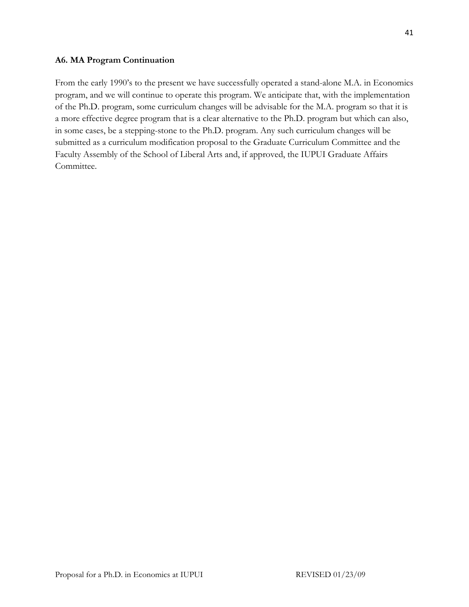#### **A6. MA Program Continuation**

From the early 1990's to the present we have successfully operated a stand-alone M.A. in Economics program, and we will continue to operate this program. We anticipate that, with the implementation of the Ph.D. program, some curriculum changes will be advisable for the M.A. program so that it is a more effective degree program that is a clear alternative to the Ph.D. program but which can also, in some cases, be a stepping-stone to the Ph.D. program. Any such curriculum changes will be submitted as a curriculum modification proposal to the Graduate Curriculum Committee and the Faculty Assembly of the School of Liberal Arts and, if approved, the IUPUI Graduate Affairs Committee.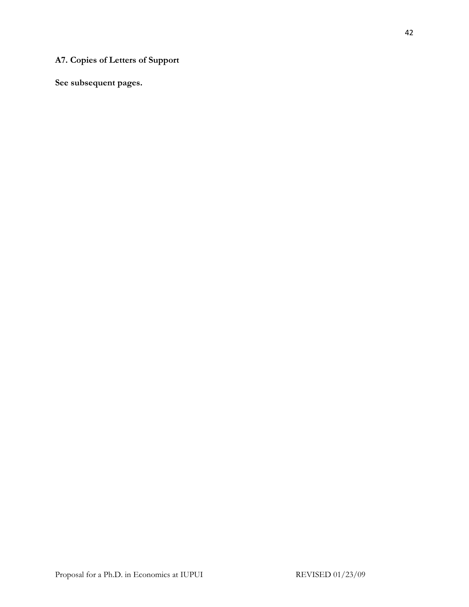# **A7. Copies of Letters of Support**

**See subsequent pages.**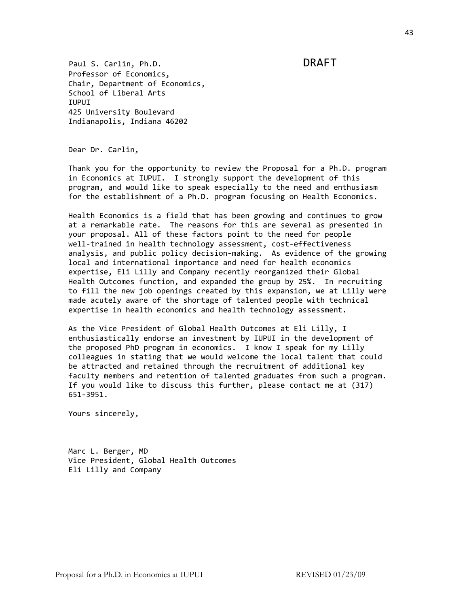Paul S. Carlin, Ph.D. DRAFT Professor of Economics, Chair, Department of Economics, School of Liberal Arts IUPUI 425 University Boulevard Indianapolis, Indiana 46202

Dear Dr. Carlin,

 Thank you for the opportunity to review the Proposal for a Ph.D. program in Economics at IUPUI. I strongly support the development of this program, and would like to speak especially to the need and enthusiasm for the establishment of a Ph.D. program focusing on Health Economics.

 Health Economics is a field that has been growing and continues to grow at a remarkable rate. The reasons for this are several as presented in your proposal. All of these factors point to the need for people well-trained in health technology assessment, cost-effectiveness analysis, and public policy decision‐making. As evidence of the growing local and international importance and need for health economics expertise, Eli Lilly and Company recently reorganized their Global Health Outcomes function, and expanded the group by 25%. In recruiting to fill the new job openings created by this expansion, we at Lilly were made acutely aware of the shortage of talented people with technical expertise in health economics and health technology assessment.

 As the Vice President of Global Health Outcomes at Eli Lilly, I enthusiastically endorse an investment by IUPUI in the development of the proposed PhD program in economics. I know I speak for my Lilly colleagues in stating that we would welcome the local talent that could be attracted and retained through the recruitment of additional key faculty members and retention of talented graduates from such a program. If you would like to discuss this further, please contact me at (317) 651‐3951.

Yours sincerely,

 Marc L. Berger, MD Vice President, Global Health Outcomes Eli Lilly and Company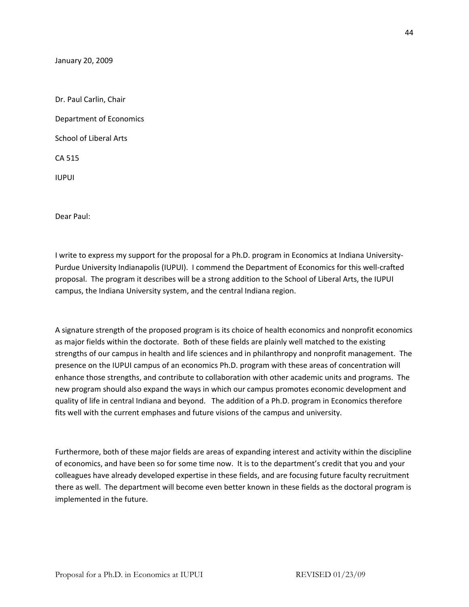January 20, 2009

Dr. Paul Carlin, Chair Department of Economics School of Liberal Arts CA 515 IUPUI

Dear Paul:

I write to express my support for the proposal for a Ph.D. program in Economics at Indiana University‐ Purdue University Indianapolis (IUPUI). I commend the Department of Economics for this well‐crafted proposal. The program it describes will be a strong addition to the School of Liberal Arts, the IUPUI campus, the Indiana University system, and the central Indiana region.

A signature strength of the proposed program is its choice of health economics and nonprofit economics as major fields within the doctorate. Both of these fields are plainly well matched to the existing strengths of our campus in health and life sciences and in philanthropy and nonprofit management. The presence on the IUPUI campus of an economics Ph.D. program with these areas of concentration will enhance those strengths, and contribute to collaboration with other academic units and programs. The new program should also expand the ways in which our campus promotes economic development and quality of life in central Indiana and beyond. The addition of a Ph.D. program in Economics therefore fits well with the current emphases and future visions of the campus and university.

Furthermore, both of these major fields are areas of expanding interest and activity within the discipline of economics, and have been so for some time now. It is to the department's credit that you and your colleagues have already developed expertise in these fields, and are focusing future faculty recruitment there as well. The department will become even better known in these fields as the doctoral program is implemented in the future.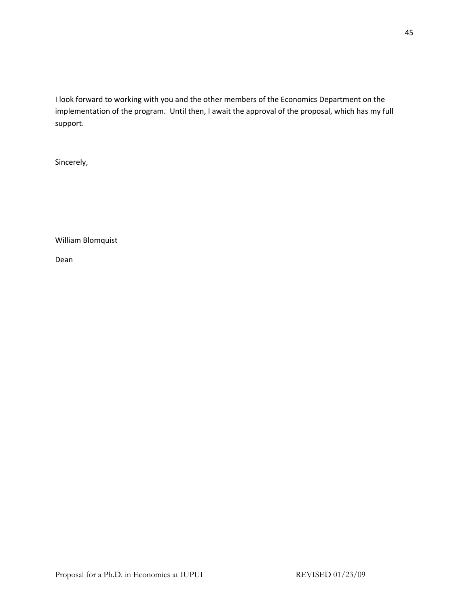I look forward to working with you and the other members of the Economics Department on the implementation of the program. Until then, I await the approval of the proposal, which has my full support.

Sincerely,

William Blomquist

Dean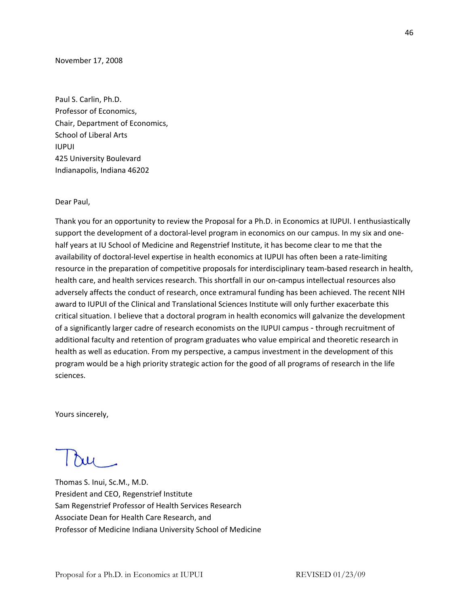November 17, 2008

Paul S. Carlin, Ph.D. Professor of Economics, Chair, Department of Economics, School of Liberal Arts IUPUI 425 University Boulevard Indianapolis, Indiana 46202

Dear Paul,

Thank you for an opportunity to review the Proposal for a Ph.D. in Economics at IUPUI. I enthusiastically support the development of a doctoral-level program in economics on our campus. In my six and onehalf years at IU School of Medicine and Regenstrief Institute, it has become clear to me that the availability of doctoral‐level expertise in health economics at IUPUI has often been a rate‐limiting resource in the preparation of competitive proposals for interdisciplinary team‐based research in health, health care, and health services research. This shortfall in our on‐campus intellectual resources also adversely affects the conduct of research, once extramural funding has been achieved. The recent NIH award to IUPUI of the Clinical and Translational Sciences Institute will only further exacerbate this critical situation. I believe that a doctoral program in health economics will galvanize the development of a significantly larger cadre of research economists on the IUPUI campus - through recruitment of additional faculty and retention of program graduates who value empirical and theoretic research in health as well as education. From my perspective, a campus investment in the development of this program would be a high priority strategic action for the good of all programs of research in the life sciences.

Yours sincerely,

Thomas S. Inui, Sc.M., M.D. President and CEO, Regenstrief Institute Sam Regenstrief Professor of Health Services Research Associate Dean for Health Care Research, and Professor of Medicine Indiana University School of Medicine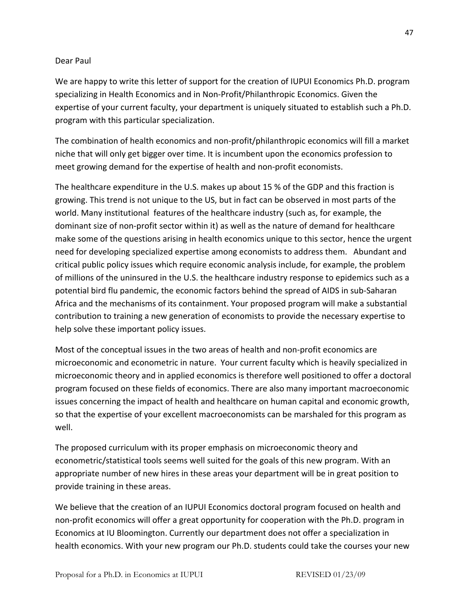## Dear Paul

We are happy to write this letter of support for the creation of IUPUI Economics Ph.D. program specializing in Health Economics and in Non‐Profit/Philanthropic Economics. Given the expertise of your current faculty, your department is uniquely situated to establish such a Ph.D. program with this particular specialization.

The combination of health economics and non-profit/philanthropic economics will fill a market niche that will only get bigger over time. It is incumbent upon the economics profession to meet growing demand for the expertise of health and non-profit economists.

The healthcare expenditure in the U.S. makes up about 15 % of the GDP and this fraction is growing. This trend is not unique to the US, but in fact can be observed in most parts of the world. Many institutional features of the healthcare industry (such as, for example, the dominant size of non‐profit sector within it) as well as the nature of demand for healthcare make some of the questions arising in health economics unique to this sector, hence the urgent need for developing specialized expertise among economists to address them. Abundant and critical public policy issues which require economic analysis include, for example, the problem of millions of the uninsured in the U.S. the healthcare industry response to epidemics such as a potential bird flu pandemic, the economic factors behind the spread of AIDS in sub‐Saharan Africa and the mechanisms of its containment. Your proposed program will make a substantial contribution to training a new generation of economists to provide the necessary expertise to help solve these important policy issues.

Most of the conceptual issues in the two areas of health and non‐profit economics are microeconomic and econometric in nature. Your current faculty which is heavily specialized in microeconomic theory and in applied economics is therefore well positioned to offer a doctoral program focused on these fields of economics. There are also many important macroeconomic issues concerning the impact of health and healthcare on human capital and economic growth, so that the expertise of your excellent macroeconomists can be marshaled for this program as well.

The proposed curriculum with its proper emphasis on microeconomic theory and econometric/statistical tools seems well suited for the goals of this new program. With an appropriate number of new hires in these areas your department will be in great position to provide training in these areas.

We believe that the creation of an IUPUI Economics doctoral program focused on health and non‐profit economics will offer a great opportunity for cooperation with the Ph.D. program in Economics at IU Bloomington. Currently our department does not offer a specialization in health economics. With your new program our Ph.D. students could take the courses your new